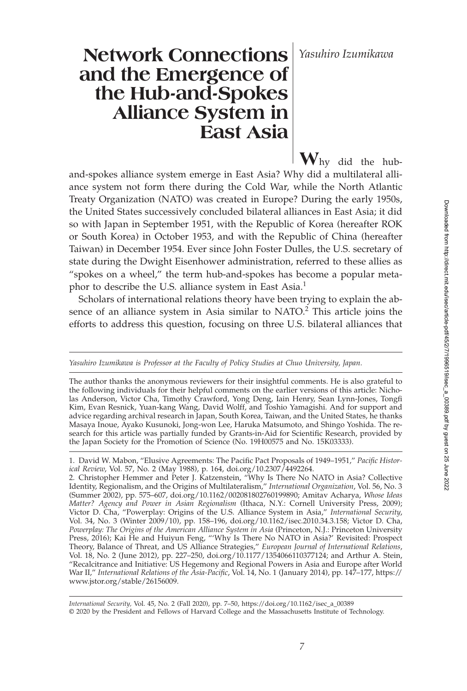## *Yasuhiro Izumikawa*

# **Network Connections and the Emergence of the Hub-and-Spokes Alliance System in East Asia**

**W**hy did the huband-spokes alliance system emerge in East Asia? Why did a multilateral alliance system not form there during the Cold War, while the North Atlantic Treaty Organization (NATO) was created in Europe? During the early 1950s, the United States successively concluded bilateral alliances in East Asia; it did so with Japan in September 1951, with the Republic of Korea (hereafter ROK or South Korea) in October 1953, and with the Republic of China (hereafter Taiwan) in December 1954. Ever since John Foster Dulles, the U.S. secretary of state during the Dwight Eisenhower administration, referred to these allies as "spokes on a wheel," the term hub-and-spokes has become a popular metaphor to describe the U.S. alliance system in East Asia.<sup>1</sup>

Scholars of international relations theory have been trying to explain the absence of an alliance system in Asia similar to NATO.<sup>2</sup> This article joins the efforts to address this question, focusing on three U.S. bilateral alliances that

*Yasuhiro Izumikawa is Professor at the Faculty of Policy Studies at Chuo University, Japan.*

The author thanks the anonymous reviewers for their insightful comments. He is also grateful to the following individuals for their helpful comments on the earlier versions of this article: Nicholas Anderson, Victor Cha, Timothy Crawford, Yong Deng, Iain Henry, Sean Lynn-Jones, Tongfi Kim, Evan Resnick, Yuan-kang Wang, David Wolff, and Toshio Yamagishi. And for support and advice regarding archival research in Japan, South Korea, Taiwan, and the United States, he thanks Masaya Inoue, Ayako Kusunoki, Jong-won Lee, Haruka Matsumoto, and Shingo Yoshida. The research for this article was partially funded by Grants-in-Aid for Scientific Research, provided by the Japan Society for the Promotion of Science (No. 19H00575 and No. 15K03333).

<sup>1.</sup> David W. Mabon, "Elusive Agreements: The Pacific Pact Proposals of 1949–1951," Pacific Histor*ical Review*, Vol. 57, No. 2 (May 1988), p. 164, doi.org/10.2307/4492264.

<sup>2.</sup> Christopher Hemmer and Peter J. Katzenstein, "Why Is There No NATO in Asia? Collective Identity, Regionalism, and the Origins of Multilateralism," *International Organization*, Vol. 56, No. 3 (Summer 2002), pp. 575–607, doi.org/10.1162/002081802760199890; Amitav Acharya, *Whose Ideas Matter? Agency and Power in Asian Regionalism* (Ithaca, N.Y.: Cornell University Press, 2009); Victor D. Cha, "Powerplay: Origins of the U.S. Alliance System in Asia," *International Security*, Vol. 34, No. 3 (Winter 2009/10), pp. 158–196, doi.org/10.1162/isec.2010.34.3.158; Victor D. Cha, *Powerplay: The Origins of the American Alliance System in Asia* (Princeton, N.J.: Princeton University Press, 2016); Kai He and Huiyun Feng, "'Why Is There No NATO in Asia?' Revisited: Prospect Theory, Balance of Threat, and US Alliance Strategies," *European Journal of International Relations*, Vol. 18, No. 2 (June 2012), pp. 227–250, doi.org/10.1177/1354066110377124; and Arthur A. Stein, "Recalcitrance and Initiative: US Hegemony and Regional Powers in Asia and Europe after World War II," *International Relations of the Asia-Pacific*, Vol. 14, No. 1 (January 2014), pp. 147–177, https:// www.jstor.org/stable/26156009.

*International Security,* Vol. 45, No. 2 (Fall 2020), pp. 7–50, https://doi.org/10.1162/isec\_a\_00389 © 2020 by the President and Fellows of Harvard College and the Massachusetts Institute of Technology.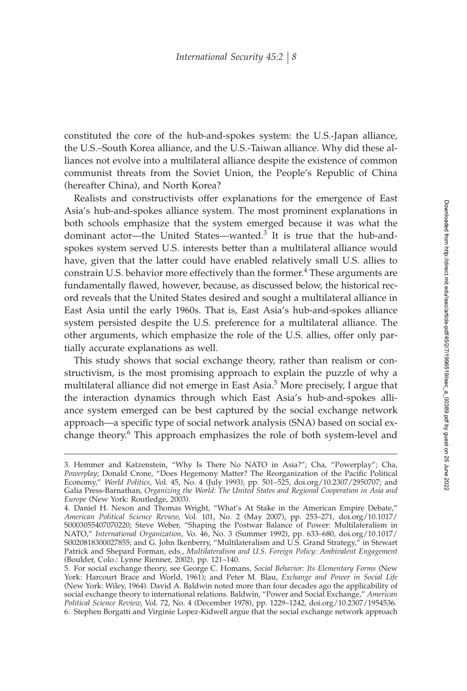constituted the core of the hub-and-spokes system: the U.S.-Japan alliance, the U.S.–South Korea alliance, and the U.S.-Taiwan alliance. Why did these alliances not evolve into a multilateral alliance despite the existence of common communist threats from the Soviet Union, the People's Republic of China (hereafter China), and North Korea?

Realists and constructivists offer explanations for the emergence of East Asia's hub-and-spokes alliance system. The most prominent explanations in both schools emphasize that the system emerged because it was what the dominant actor—the United States—wanted.<sup>3</sup> It is true that the hub-andspokes system served U.S. interests better than a multilateral alliance would have, given that the latter could have enabled relatively small U.S. allies to constrain U.S. behavior more effectively than the former.<sup>4</sup> These arguments are fundamentally flawed, however, because, as discussed below, the historical record reveals that the United States desired and sought a multilateral alliance in East Asia until the early 1960s. That is, East Asia's hub-and-spokes alliance system persisted despite the U.S. preference for a multilateral alliance. The other arguments, which emphasize the role of the U.S. allies, offer only partially accurate explanations as well.

This study shows that social exchange theory, rather than realism or constructivism, is the most promising approach to explain the puzzle of why a multilateral alliance did not emerge in East Asia.<sup>5</sup> More precisely, I argue that the interaction dynamics through which East Asia's hub-and-spokes alliance system emerged can be best captured by the social exchange network approach—a specific type of social network analysis (SNA) based on social exchange theory.<sup>6</sup> This approach emphasizes the role of both system-level and

<sup>3.</sup> Hemmer and Katzenstein, "Why Is There No NATO in Asia?"; Cha, "Powerplay"; Cha, Powerplay; Donald Crone, "Does Hegemony Matter? The Reorganization of the Pacific Political Economy," *World Politics*, Vol. 45, No. 4 (July 1993), pp. 501–525, doi.org/10.2307/2950707; and Galia Press-Barnathan, *Organizing the World: The United States and Regional Cooperation in Asia and Europe* (New York: Routledge, 2003).

<sup>4.</sup> Daniel H. Nexon and Thomas Wright, "What's At Stake in the American Empire Debate," *American Political Science Review*, Vol. 101, No. 2 (May 2007), pp. 253–271, doi.org/10.1017/ S0003055407070220; Steve Weber, "Shaping the Postwar Balance of Power: Multilateralism in NATO," *International Organization*, Vo. 46, No. 3 (Summer 1992), pp. 633–680, doi.org/10.1017/ S0020818300027855; and G. John Ikenberry, "Multilateralism and U.S. Grand Strategy," in Stewart Patrick and Shepard Forman, eds., *Multilateralism and U.S. Foreign Policy: Ambivalent Engagement* (Boulder, Colo.: Lynne Rienner, 2002), pp. 121–140.

<sup>5.</sup> For social exchange theory, see George C. Homans, *Social Behavior: Its Elementary Forms* (New York: Harcourt Brace and World, 1961); and Peter M. Blau, *Exchange and Power in Social Life* (New York: Wiley, 1964). David A. Baldwin noted more than four decades ago the applicability of social exchange theory to international relations. Baldwin, "Power and Social Exchange," *American Political Science Review*, Vol. 72, No. 4 (December 1978), pp. 1229–1242, doi.org/10.2307/1954536. 6. Stephen Borgatti and Virginie Lopez-Kidwell argue that the social exchange network approach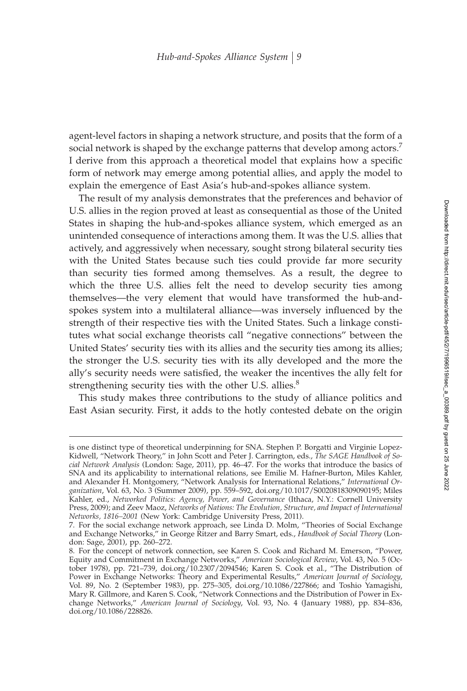agent-level factors in shaping a network structure, and posits that the form of a social network is shaped by the exchange patterns that develop among actors.<sup>7</sup> I derive from this approach a theoretical model that explains how a specific form of network may emerge among potential allies, and apply the model to explain the emergence of East Asia's hub-and-spokes alliance system.

The result of my analysis demonstrates that the preferences and behavior of U.S. allies in the region proved at least as consequential as those of the United States in shaping the hub-and-spokes alliance system, which emerged as an unintended consequence of interactions among them. It was the U.S. allies that actively, and aggressively when necessary, sought strong bilateral security ties with the United States because such ties could provide far more security than security ties formed among themselves. As a result, the degree to which the three U.S. allies felt the need to develop security ties among themselves—the very element that would have transformed the hub-andspokes system into a multilateral alliance—was inversely influenced by the strength of their respective ties with the United States. Such a linkage constitutes what social exchange theorists call "negative connections" between the United States' security ties with its allies and the security ties among its allies; the stronger the U.S. security ties with its ally developed and the more the ally's security needs were satisfied, the weaker the incentives the ally felt for strengthening security ties with the other U.S. allies.<sup>8</sup>

This study makes three contributions to the study of alliance politics and East Asian security. First, it adds to the hotly contested debate on the origin

is one distinct type of theoretical underpinning for SNA. Stephen P. Borgatti and Virginie Lopez-Kidwell, "Network Theory," in John Scott and Peter J. Carrington, eds., *The SAGE Handbook of Social Network Analysis* (London: Sage, 2011), pp. 46–47. For the works that introduce the basics of SNA and its applicability to international relations, see Emilie M. Hafner-Burton, Miles Kahler, and Alexander H. Montgomery, "Network Analysis for International Relations," *International Organization*, Vol. 63, No. 3 (Summer 2009), pp. 559–592, doi.org/10.1017/S0020818309090195; Miles Kahler, ed., *Networked Politics: Agency, Power, and Governance* (Ithaca, N.Y.: Cornell University Press, 2009); and Zeev Maoz, *Networks of Nations: The Evolution, Structure, and Impact of International Networks, 1816–2001* (New York: Cambridge University Press, 2011).

<sup>7.</sup> For the social exchange network approach, see Linda D. Molm, "Theories of Social Exchange and Exchange Networks," in George Ritzer and Barry Smart, eds., *Handbook of Social Theory* (London: Sage, 2001), pp. 260–272.

<sup>8.</sup> For the concept of network connection, see Karen S. Cook and Richard M. Emerson, "Power, Equity and Commitment in Exchange Networks," *American Sociological Review*, Vol. 43, No. 5 (October 1978), pp. 721–739, doi.org/10.2307/2094546; Karen S. Cook et al., "The Distribution of Power in Exchange Networks: Theory and Experimental Results," *American Journal of Sociology*, Vol. 89, No. 2 (September 1983), pp. 275–305, doi.org/10.1086/227866; and Toshio Yamagishi, Mary R. Gillmore, and Karen S. Cook, "Network Connections and the Distribution of Power in Exchange Networks," *American Journal of Sociology*, Vol. 93, No. 4 (January 1988), pp. 834–836, doi.org/10.1086/228826.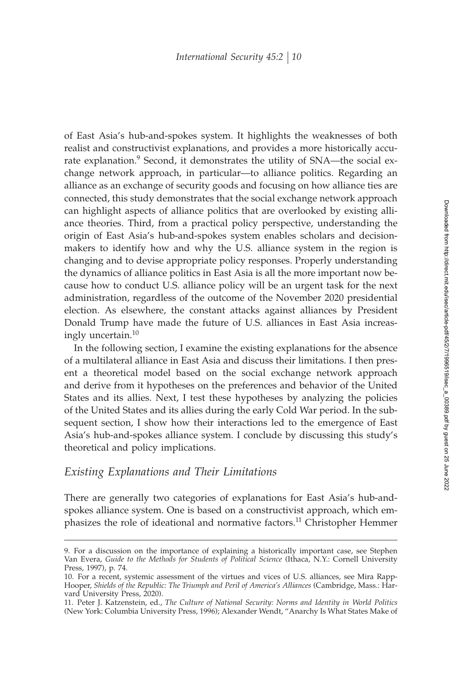of East Asia's hub-and-spokes system. It highlights the weaknesses of both realist and constructivist explanations, and provides a more historically accurate explanation.<sup>9</sup> Second, it demonstrates the utility of SNA—the social exchange network approach, in particular—to alliance politics. Regarding an alliance as an exchange of security goods and focusing on how alliance ties are connected, this study demonstrates that the social exchange network approach can highlight aspects of alliance politics that are overlooked by existing alliance theories. Third, from a practical policy perspective, understanding the origin of East Asia's hub-and-spokes system enables scholars and decisionmakers to identify how and why the U.S. alliance system in the region is changing and to devise appropriate policy responses. Properly understanding the dynamics of alliance politics in East Asia is all the more important now because how to conduct U.S. alliance policy will be an urgent task for the next administration, regardless of the outcome of the November 2020 presidential election. As elsewhere, the constant attacks against alliances by President Donald Trump have made the future of U.S. alliances in East Asia increasingly uncertain.<sup>10</sup>

In the following section, I examine the existing explanations for the absence of a multilateral alliance in East Asia and discuss their limitations. I then present a theoretical model based on the social exchange network approach and derive from it hypotheses on the preferences and behavior of the United States and its allies. Next, I test these hypotheses by analyzing the policies of the United States and its allies during the early Cold War period. In the subsequent section, I show how their interactions led to the emergence of East Asia's hub-and-spokes alliance system. I conclude by discussing this study's theoretical and policy implications.

## *Existing Explanations and Their Limitations*

There are generally two categories of explanations for East Asia's hub-andspokes alliance system. One is based on a constructivist approach, which emphasizes the role of ideational and normative factors.<sup>11</sup> Christopher Hemmer

<sup>9.</sup> For a discussion on the importance of explaining a historically important case, see Stephen Van Evera, *Guide to the Methods for Students of Political Science* (Ithaca, N.Y.: Cornell University Press, 1997), p. 74.

<sup>10.</sup> For a recent, systemic assessment of the virtues and vices of U.S. alliances, see Mira Rapp-Hooper, *Shields of the Republic: The Triumph and Peril of America's Alliances* (Cambridge, Mass.: Harvard University Press, 2020).

<sup>11.</sup> Peter J. Katzenstein, ed., *The Culture of National Security: Norms and Identity in World Politics* (New York: Columbia University Press, 1996); Alexander Wendt, "Anarchy Is What States Make of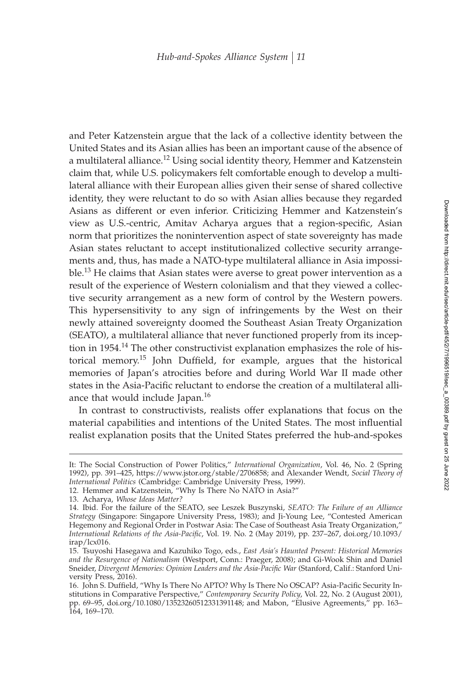and Peter Katzenstein argue that the lack of a collective identity between the United States and its Asian allies has been an important cause of the absence of a multilateral alliance.<sup>12</sup> Using social identity theory, Hemmer and Katzenstein claim that, while U.S. policymakers felt comfortable enough to develop a multilateral alliance with their European allies given their sense of shared collective identity, they were reluctant to do so with Asian allies because they regarded Asians as different or even inferior. Criticizing Hemmer and Katzenstein's view as U.S.-centric, Amitav Acharya argues that a region-specific, Asian norm that prioritizes the nonintervention aspect of state sovereignty has made Asian states reluctant to accept institutionalized collective security arrangements and, thus, has made a NATO-type multilateral alliance in Asia impossible.<sup>13</sup> He claims that Asian states were averse to great power intervention as a result of the experience of Western colonialism and that they viewed a collective security arrangement as a new form of control by the Western powers. This hypersensitivity to any sign of infringements by the West on their newly attained sovereignty doomed the Southeast Asian Treaty Organization (SEATO), a multilateral alliance that never functioned properly from its inception in 1954.<sup>14</sup> The other constructivist explanation emphasizes the role of historical memory.<sup>15</sup> John Duffield, for example, argues that the historical memories of Japan's atrocities before and during World War II made other states in the Asia-Pacific reluctant to endorse the creation of a multilateral alliance that would include Japan.<sup>16</sup>

In contrast to constructivists, realists offer explanations that focus on the material capabilities and intentions of the United States. The most influential realist explanation posits that the United States preferred the hub-and-spokes

It: The Social Construction of Power Politics," *International Organization*, Vol. 46, No. 2 (Spring 1992), pp. 391–425, https://www.jstor.org/stable/2706858; and Alexander Wendt, *Social Theory of International Politics* (Cambridge: Cambridge University Press, 1999).

<sup>12.</sup> Hemmer and Katzenstein, "Why Is There No NATO in Asia?"

<sup>13.</sup> Acharya, *Whose Ideas Matter?*

<sup>14.</sup> Ibid. For the failure of the SEATO, see Leszek Buszynski, *SEATO: The Failure of an Alliance Strategy* (Singapore: Singapore University Press, 1983); and Ji-Young Lee, "Contested American Hegemony and Regional Order in Postwar Asia: The Case of Southeast Asia Treaty Organization," *International Relations of the Asia-Pacific, Vol. 19. No. 2 (May 2019), pp. 237-267, doi.org/10.1093/* irap/lcx016.

<sup>15.</sup> Tsuyoshi Hasegawa and Kazuhiko Togo, eds., *East Asia's Haunted Present: Historical Memories and the Resurgence of Nationalism* (Westport, Conn.: Praeger, 2008); and Gi-Wook Shin and Daniel Sneider, *Divergent Memories: Opinion Leaders and the Asia-Pacific War (Stanford, Calif.: Stanford Uni*versity Press, 2016).

<sup>16.</sup> John S. Duffield, "Why Is There No APTO? Why Is There No OSCAP? Asia-Pacific Security Institutions in Comparative Perspective," *Contemporary Security Policy*, Vol. 22, No. 2 (August 2001), pp. 69–95, doi.org/10.1080/13523260512331391148; and Mabon, "Elusive Agreements," pp. 163– 164, 169–170.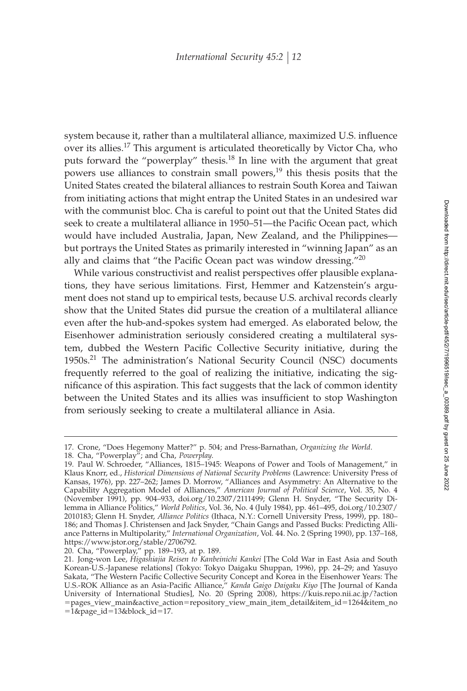system because it, rather than a multilateral alliance, maximized U.S. influence over its allies.<sup>17</sup> This argument is articulated theoretically by Victor Cha, who puts forward the "powerplay" thesis.<sup>18</sup> In line with the argument that great powers use alliances to constrain small powers, $19$  this thesis posits that the United States created the bilateral alliances to restrain South Korea and Taiwan from initiating actions that might entrap the United States in an undesired war with the communist bloc. Cha is careful to point out that the United States did seek to create a multilateral alliance in 1950–51—the Pacific Ocean pact, which would have included Australia, Japan, New Zealand, and the Philippines but portrays the United States as primarily interested in "winning Japan" as an ally and claims that "the Pacific Ocean pact was window dressing." $^{20}$ 

While various constructivist and realist perspectives offer plausible explanations, they have serious limitations. First, Hemmer and Katzenstein's argument does not stand up to empirical tests, because U.S. archival records clearly show that the United States did pursue the creation of a multilateral alliance even after the hub-and-spokes system had emerged. As elaborated below, the Eisenhower administration seriously considered creating a multilateral system, dubbed the Western Pacific Collective Security initiative, during the 1950s.<sup>21</sup> The administration's National Security Council (NSC) documents frequently referred to the goal of realizing the initiative, indicating the significance of this aspiration. This fact suggests that the lack of common identity between the United States and its allies was insufficient to stop Washington from seriously seeking to create a multilateral alliance in Asia.

<sup>17.</sup> Crone, "Does Hegemony Matter?" p. 504; and Press-Barnathan, *Organizing the World*.

<sup>18.</sup> Cha, "Powerplay"; and Cha, *Powerplay*.

<sup>19.</sup> Paul W. Schroeder, "Alliances, 1815–1945: Weapons of Power and Tools of Management," in Klaus Knorr, ed., *Historical Dimensions of National Security Problems* (Lawrence: University Press of Kansas, 1976), pp. 227–262; James D. Morrow, "Alliances and Asymmetry: An Alternative to the Capability Aggregation Model of Alliances," *American Journal of Political Science*, Vol. 35, No. 4 (November 1991), pp. 904–933, doi.org/10.2307/2111499; Glenn H. Snyder, "The Security Dilemma in Alliance Politics," *World Politics*, Vol. 36, No. 4 (July 1984), pp. 461–495, doi.org/10.2307/ 2010183; Glenn H. Snyder, *Alliance Politics* (Ithaca, N.Y.: Cornell University Press, 1999), pp. 180– 186; and Thomas J. Christensen and Jack Snyder, "Chain Gangs and Passed Bucks: Predicting Alliance Patterns in Multipolarity," *International Organization*, Vol. 44. No. 2 (Spring 1990), pp. 137–168, https://www.jstor.org/stable/2706792.

<sup>20.</sup> Cha, "Powerplay," pp. 189–193, at p. 189.

<sup>21.</sup> Jong-won Lee, *Higashiajia Reisen to Kanbeinichi Kankei* [The Cold War in East Asia and South Korean-U.S.-Japanese relations] (Tokyo: Tokyo Daigaku Shuppan, 1996), pp. 24–29; and Yasuyo Sakata, "The Western Pacific Collective Security Concept and Korea in the Eisenhower Years: The U.S.-ROK Alliance as an Asia-Pacific Alliance," *Kanda Gaigo Daigaku Kiyo* [The Journal of Kanda University of International Studies], No. 20 (Spring 2008), https://kuis.repo.nii.ac.jp/?action -pages\_view\_main&active\_action-repository\_view\_main\_item\_detail&item\_id-1264&item\_no -1&page\_id-13&block\_id-17.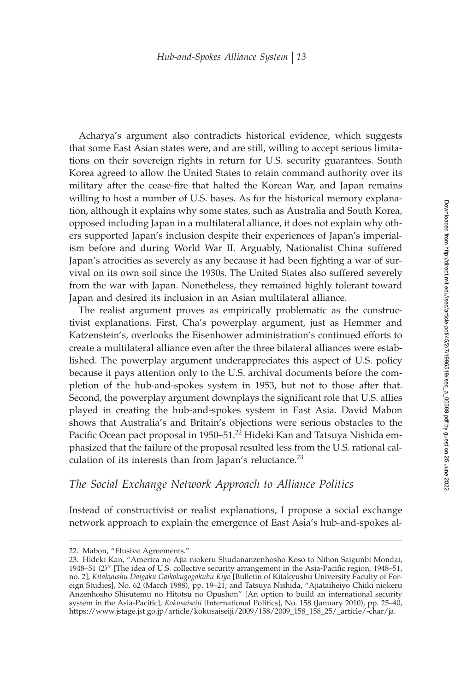Acharya's argument also contradicts historical evidence, which suggests that some East Asian states were, and are still, willing to accept serious limitations on their sovereign rights in return for U.S. security guarantees. South Korea agreed to allow the United States to retain command authority over its military after the cease-fire that halted the Korean War, and Japan remains willing to host a number of U.S. bases. As for the historical memory explanation, although it explains why some states, such as Australia and South Korea, opposed including Japan in a multilateral alliance, it does not explain why others supported Japan's inclusion despite their experiences of Japan's imperialism before and during World War II. Arguably, Nationalist China suffered Japan's atrocities as severely as any because it had been fighting a war of survival on its own soil since the 1930s. The United States also suffered severely from the war with Japan. Nonetheless, they remained highly tolerant toward Japan and desired its inclusion in an Asian multilateral alliance.

The realist argument proves as empirically problematic as the constructivist explanations. First, Cha's powerplay argument, just as Hemmer and Katzenstein's, overlooks the Eisenhower administration's continued efforts to create a multilateral alliance even after the three bilateral alliances were established. The powerplay argument underappreciates this aspect of U.S. policy because it pays attention only to the U.S. archival documents before the completion of the hub-and-spokes system in 1953, but not to those after that. Second, the powerplay argument downplays the significant role that U.S. allies played in creating the hub-and-spokes system in East Asia. David Mabon shows that Australia's and Britain's objections were serious obstacles to the Pacific Ocean pact proposal in 1950–51.<sup>22</sup> Hideki Kan and Tatsuya Nishida emphasized that the failure of the proposal resulted less from the U.S. rational calculation of its interests than from Japan's reluctance. $^{23}$ 

## *The Social Exchange Network Approach to Alliance Politics*

Instead of constructivist or realist explanations, I propose a social exchange network approach to explain the emergence of East Asia's hub-and-spokes al-

<sup>22.</sup> Mabon, "Elusive Agreements."

<sup>23.</sup> Hideki Kan, "America no Ajia niokeru Shudananzenhosho Koso to Nihon Saigunbi Mondai, 1948–51 (2)" [The idea of U.S. collective security arrangement in the Asia-Pacific region, 1948–51, no. 2], *Kitakyushu Daigaku Gaikokugogakubu Kiyo* [Bulletin of Kitakyushu University Faculty of Foreign Studies], No. 62 (March 1988), pp. 19–21; and Tatsuya Nishida, "Ajiataiheiyo Chiiki niokeru Anzenhosho Shisutemu no Hitotsu no Opushon" [An option to build an international security system in the Asia-Pacific], *Kokusaiseiji* [International Politics], No. 158 (January 2010), pp. 25-40, https://www.jstage.jst.go.jp/article/kokusaiseiji/2009/158/2009\_158\_158\_25/\_article/-char/ja.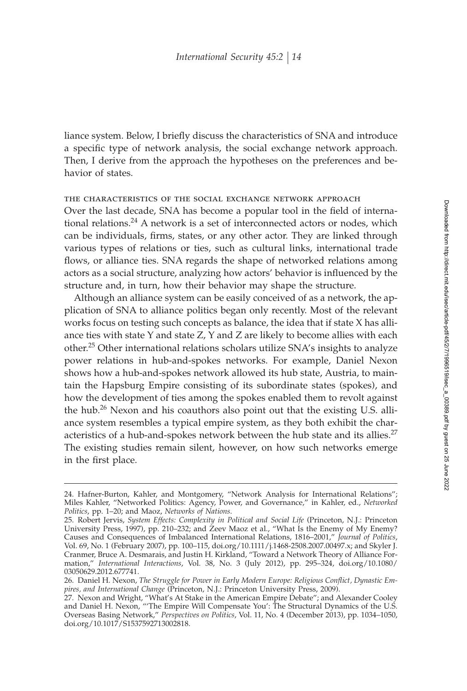liance system. Below, I briefly discuss the characteristics of SNA and introduce a specific type of network analysis, the social exchange network approach. Then, I derive from the approach the hypotheses on the preferences and behavior of states.

#### the characteristics of the social exchange network approach

Over the last decade, SNA has become a popular tool in the field of international relations.<sup>24</sup> A network is a set of interconnected actors or nodes, which can be individuals, firms, states, or any other actor. They are linked through various types of relations or ties, such as cultural links, international trade flows, or alliance ties. SNA regards the shape of networked relations among actors as a social structure, analyzing how actors' behavior is influenced by the structure and, in turn, how their behavior may shape the structure.

Although an alliance system can be easily conceived of as a network, the application of SNA to alliance politics began only recently. Most of the relevant works focus on testing such concepts as balance, the idea that if state X has alliance ties with state Y and state Z, Y and Z are likely to become allies with each other.<sup>25</sup> Other international relations scholars utilize SNA's insights to analyze power relations in hub-and-spokes networks. For example, Daniel Nexon shows how a hub-and-spokes network allowed its hub state, Austria, to maintain the Hapsburg Empire consisting of its subordinate states (spokes), and how the development of ties among the spokes enabled them to revolt against the hub.<sup>26</sup> Nexon and his coauthors also point out that the existing U.S. alliance system resembles a typical empire system, as they both exhibit the characteristics of a hub-and-spokes network between the hub state and its allies.<sup>27</sup> The existing studies remain silent, however, on how such networks emerge in the first place.

<sup>24.</sup> Hafner-Burton, Kahler, and Montgomery, "Network Analysis for International Relations"; Miles Kahler, "Networked Politics: Agency, Power, and Governance," in Kahler, ed., *Networked Politics*, pp. 1–20; and Maoz, *Networks of Nations*.

<sup>25.</sup> Robert Jervis, *System Effects: Complexity in Political and Social Life* (Princeton, N.J.: Princeton University Press, 1997), pp. 210-232; and Zeev Maoz et al., "What Is the Enemy of My Enemy? Causes and Consequences of Imbalanced International Relations, 1816–2001," *Journal of Politics*, Vol. 69, No. 1 (February 2007), pp. 100–115, doi.org/10.1111/j.1468-2508.2007.00497.x; and Skyler J. Cranmer, Bruce A. Desmarais, and Justin H. Kirkland, "Toward a Network Theory of Alliance Formation," *International Interactions*, Vol. 38, No. 3 (July 2012), pp. 295–324, doi.org/10.1080/ 03050629.2012.677741.

<sup>26.</sup> Daniel H. Nexon, The Struggle for Power in Early Modern Europe: Religious Conflict, Dynastic Em*pires, and International Change* (Princeton, N.J.: Princeton University Press, 2009).

<sup>27.</sup> Nexon and Wright, "What's At Stake in the American Empire Debate"; and Alexander Cooley and Daniel H. Nexon, "'The Empire Will Compensate You': The Structural Dynamics of the U.S. Overseas Basing Network," *Perspectives on Politics*, Vol. 11, No. 4 (December 2013), pp. 1034–1050, doi.org/10.1017/S1537592713002818.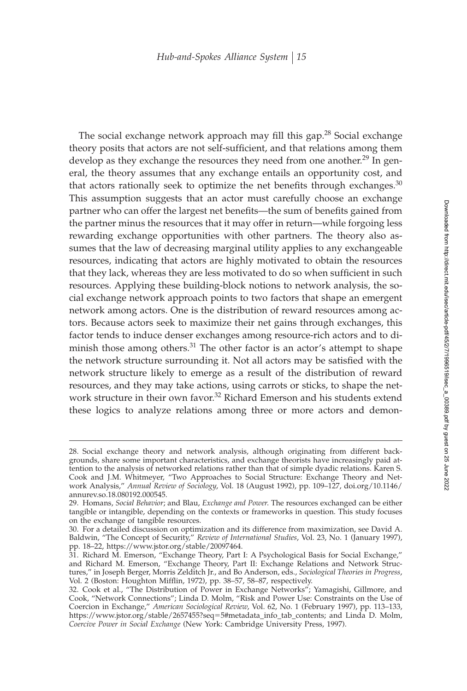The social exchange network approach may fill this gap.<sup>28</sup> Social exchange theory posits that actors are not self-sufficient, and that relations among them develop as they exchange the resources they need from one another.<sup>29</sup> In general, the theory assumes that any exchange entails an opportunity cost, and that actors rationally seek to optimize the net benefits through exchanges. $30$ This assumption suggests that an actor must carefully choose an exchange partner who can offer the largest net benefits—the sum of benefits gained from the partner minus the resources that it may offer in return—while forgoing less rewarding exchange opportunities with other partners. The theory also assumes that the law of decreasing marginal utility applies to any exchangeable resources, indicating that actors are highly motivated to obtain the resources that they lack, whereas they are less motivated to do so when sufficient in such resources. Applying these building-block notions to network analysis, the social exchange network approach points to two factors that shape an emergent network among actors. One is the distribution of reward resources among actors. Because actors seek to maximize their net gains through exchanges, this factor tends to induce denser exchanges among resource-rich actors and to diminish those among others.<sup>31</sup> The other factor is an actor's attempt to shape the network structure surrounding it. Not all actors may be satisfied with the network structure likely to emerge as a result of the distribution of reward resources, and they may take actions, using carrots or sticks, to shape the network structure in their own favor.<sup>32</sup> Richard Emerson and his students extend these logics to analyze relations among three or more actors and demon-

<sup>28.</sup> Social exchange theory and network analysis, although originating from different backgrounds, share some important characteristics, and exchange theorists have increasingly paid attention to the analysis of networked relations rather than that of simple dyadic relations. Karen S. Cook and J.M. Whitmeyer, "Two Approaches to Social Structure: Exchange Theory and Network Analysis," *Annual Review of Sociology*, Vol. 18 (August 1992), pp. 109–127, doi.org/10.1146/ annurev.so.18.080192.000545.

<sup>29.</sup> Homans, *Social Behavior*; and Blau, *Exchange and Power*. The resources exchanged can be either tangible or intangible, depending on the contexts or frameworks in question. This study focuses on the exchange of tangible resources.

<sup>30.</sup> For a detailed discussion on optimization and its difference from maximization, see David A. Baldwin, "The Concept of Security," *Review of International Studies*, Vol. 23, No. 1 (January 1997), pp. 18–22, https://www.jstor.org/stable/20097464.

<sup>31.</sup> Richard M. Emerson, "Exchange Theory, Part I: A Psychological Basis for Social Exchange," and Richard M. Emerson, "Exchange Theory, Part II: Exchange Relations and Network Structures," in Joseph Berger, Morris Zelditch Jr., and Bo Anderson, eds., *Sociological Theories in Progress*, Vol. 2 (Boston: Houghton Mifflin, 1972), pp. 38–57, 58–87, respectively.

<sup>32.</sup> Cook et al., "The Distribution of Power in Exchange Networks"; Yamagishi, Gillmore, and Cook, "Network Connections"; Linda D. Molm, "Risk and Power Use: Constraints on the Use of Coercion in Exchange," *American Sociological Review*, Vol. 62, No. 1 (February 1997), pp. 113–133, https://www.jstor.org/stable/2657455?seq-5#metadata\_info\_tab\_contents; and Linda D. Molm, *Coercive Power in Social Exchange* (New York: Cambridge University Press, 1997).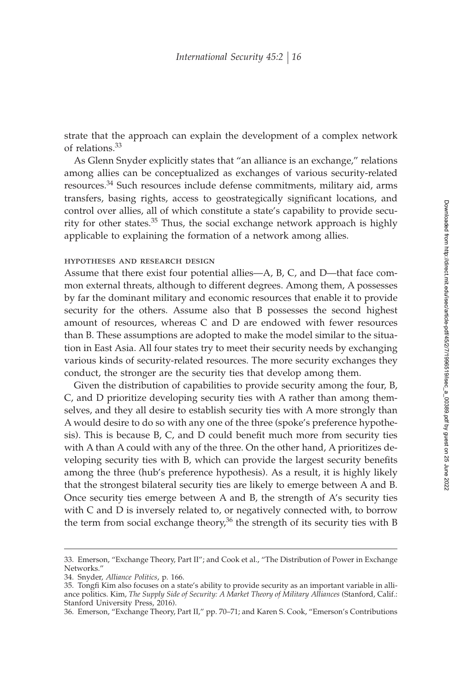strate that the approach can explain the development of a complex network of relations.<sup>33</sup>

As Glenn Snyder explicitly states that "an alliance is an exchange," relations among allies can be conceptualized as exchanges of various security-related resources.<sup>34</sup> Such resources include defense commitments, military aid, arms transfers, basing rights, access to geostrategically significant locations, and control over allies, all of which constitute a state's capability to provide security for other states. $35$  Thus, the social exchange network approach is highly applicable to explaining the formation of a network among allies.

#### hypotheses and research design

Assume that there exist four potential allies—A, B, C, and D—that face common external threats, although to different degrees. Among them, A possesses by far the dominant military and economic resources that enable it to provide security for the others. Assume also that B possesses the second highest amount of resources, whereas C and D are endowed with fewer resources than B. These assumptions are adopted to make the model similar to the situation in East Asia. All four states try to meet their security needs by exchanging various kinds of security-related resources. The more security exchanges they conduct, the stronger are the security ties that develop among them.

Given the distribution of capabilities to provide security among the four, B, C, and D prioritize developing security ties with A rather than among themselves, and they all desire to establish security ties with A more strongly than A would desire to do so with any one of the three (spoke's preference hypothesis). This is because  $B$ ,  $C$ , and  $D$  could benefit much more from security ties with A than A could with any of the three. On the other hand, A prioritizes developing security ties with B, which can provide the largest security benefits among the three (hub's preference hypothesis). As a result, it is highly likely that the strongest bilateral security ties are likely to emerge between A and B. Once security ties emerge between A and B, the strength of A's security ties with C and D is inversely related to, or negatively connected with, to borrow the term from social exchange theory,<sup>36</sup> the strength of its security ties with B

<sup>33.</sup> Emerson, "Exchange Theory, Part II"; and Cook et al., "The Distribution of Power in Exchange Networks."

<sup>34.</sup> Snyder, *Alliance Politics*, p. 166.

<sup>35.</sup> Tongfi Kim also focuses on a state's ability to provide security as an important variable in alliance politics. Kim, *The Supply Side of Security: A Market Theory of Military Alliances* (Stanford, Calif.: Stanford University Press, 2016).

<sup>36.</sup> Emerson, "Exchange Theory, Part II," pp. 70–71; and Karen S. Cook, "Emerson's Contributions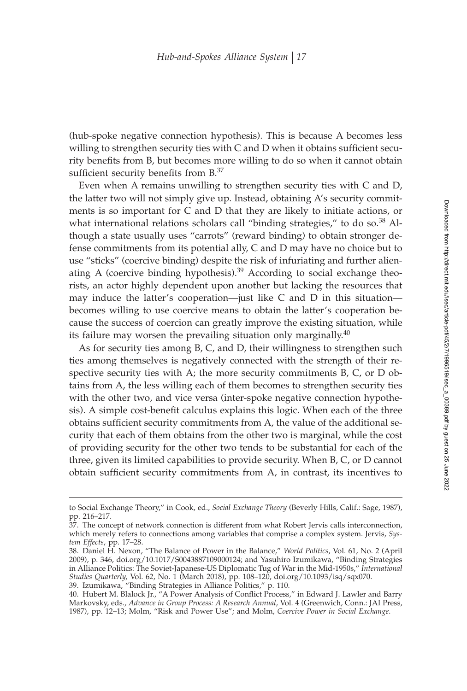(hub-spoke negative connection hypothesis). This is because A becomes less willing to strengthen security ties with C and D when it obtains sufficient security benefits from B, but becomes more willing to do so when it cannot obtain sufficient security benefits from  $B^{37}$ 

Even when A remains unwilling to strengthen security ties with C and D, the latter two will not simply give up. Instead, obtaining A's security commitments is so important for C and D that they are likely to initiate actions, or what international relations scholars call "binding strategies," to do so.<sup>38</sup> Although a state usually uses "carrots" (reward binding) to obtain stronger defense commitments from its potential ally, C and D may have no choice but to use "sticks" (coercive binding) despite the risk of infuriating and further alienating A (coercive binding hypothesis).<sup>39</sup> According to social exchange theorists, an actor highly dependent upon another but lacking the resources that may induce the latter's cooperation—just like C and D in this situation becomes willing to use coercive means to obtain the latter's cooperation because the success of coercion can greatly improve the existing situation, while its failure may worsen the prevailing situation only marginally. $40$ 

As for security ties among B, C, and D, their willingness to strengthen such ties among themselves is negatively connected with the strength of their respective security ties with A; the more security commitments B, C, or D obtains from A, the less willing each of them becomes to strengthen security ties with the other two, and vice versa (inter-spoke negative connection hypothesis). A simple cost-benefit calculus explains this logic. When each of the three obtains sufficient security commitments from A, the value of the additional security that each of them obtains from the other two is marginal, while the cost of providing security for the other two tends to be substantial for each of the three, given its limited capabilities to provide security. When B, C, or D cannot obtain sufficient security commitments from A, in contrast, its incentives to

to Social Exchange Theory," in Cook, ed., *Social Exchange Theory* (Beverly Hills, Calif.: Sage, 1987), pp. 216–217.

<sup>37.</sup> The concept of network connection is different from what Robert Jervis calls interconnection, which merely refers to connections among variables that comprise a complex system. Jervis, *System Effects*, pp. 17–28.

<sup>38.</sup> Daniel H. Nexon, "The Balance of Power in the Balance," *World Politics*, Vol. 61, No. 2 (April 2009), p. 346, doi.org/10.1017/S0043887109000124; and Yasuhiro Izumikawa, "Binding Strategies in Alliance Politics: The Soviet-Japanese-US Diplomatic Tug of War in the Mid-1950s," *International Studies Quarterly*, Vol. 62, No. 1 (March 2018), pp. 108–120, doi.org/10.1093/isq/sqx070. 39. Izumikawa, "Binding Strategies in Alliance Politics," p. 110.

<sup>40.</sup> Hubert M. Blalock Jr., "A Power Analysis of Conflict Process," in Edward J. Lawler and Barry Markovsky, eds., *Advance in Group Process: A Research Annual*, Vol. 4 (Greenwich, Conn.: JAI Press, 1987), pp. 12–13; Molm, "Risk and Power Use"; and Molm, *Coercive Power in Social Exchange*.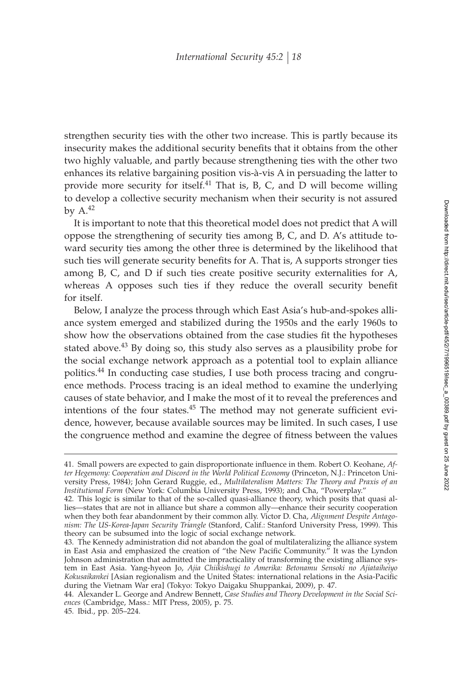strengthen security ties with the other two increase. This is partly because its insecurity makes the additional security benefits that it obtains from the other two highly valuable, and partly because strengthening ties with the other two enhances its relative bargaining position vis-à-vis A in persuading the latter to provide more security for itself.<sup>41</sup> That is, B, C, and D will become willing to develop a collective security mechanism when their security is not assured by  $A<sup>42</sup>$ 

It is important to note that this theoretical model does not predict that A will oppose the strengthening of security ties among B, C, and D. A's attitude toward security ties among the other three is determined by the likelihood that such ties will generate security benefits for A. That is, A supports stronger ties among B, C, and D if such ties create positive security externalities for A, whereas A opposes such ties if they reduce the overall security benefit for itself.

Below, I analyze the process through which East Asia's hub-and-spokes alliance system emerged and stabilized during the 1950s and the early 1960s to show how the observations obtained from the case studies fit the hypotheses stated above. $43$  By doing so, this study also serves as a plausibility probe for the social exchange network approach as a potential tool to explain alliance politics.<sup>44</sup> In conducting case studies, I use both process tracing and congruence methods. Process tracing is an ideal method to examine the underlying causes of state behavior, and I make the most of it to reveal the preferences and intentions of the four states.<sup>45</sup> The method may not generate sufficient evidence, however, because available sources may be limited. In such cases, I use the congruence method and examine the degree of fitness between the values

<sup>41.</sup> Small powers are expected to gain disproportionate influence in them. Robert O. Keohane, Af*ter Hegemony: Cooperation and Discord in the World Political Economy* (Princeton, N.J.: Princeton University Press, 1984); John Gerard Ruggie, ed., *Multilateralism Matters: The Theory and Praxis of an Institutional Form* (New York: Columbia University Press, 1993); and Cha, "Powerplay."

<sup>42.</sup> This logic is similar to that of the so-called quasi-alliance theory, which posits that quasi allies—states that are not in alliance but share a common ally—enhance their security cooperation when they both fear abandonment by their common ally. Victor D. Cha, *Alignment Despite Antagonism: The US-Korea-Japan Security Triangle* (Stanford, Calif.: Stanford University Press, 1999). This theory can be subsumed into the logic of social exchange network.

<sup>43.</sup> The Kennedy administration did not abandon the goal of multilateralizing the alliance system in East Asia and emphasized the creation of "the New Pacific Community." It was the Lyndon Johnson administration that admitted the impracticality of transforming the existing alliance system in East Asia. Yang-hyeon Jo, *Ajia Chiikishugi to Amerika: Betonamu Sensoki no Ajiataiheiyo* Kokusaikankei [Asian regionalism and the United States: international relations in the Asia-Pacific during the Vietnam War era] (Tokyo: Tokyo Daigaku Shuppankai, 2009), p. 47.

<sup>44.</sup> Alexander L. George and Andrew Bennett, *Case Studies and Theory Development in the Social Sciences* (Cambridge, Mass.: MIT Press, 2005), p. 75.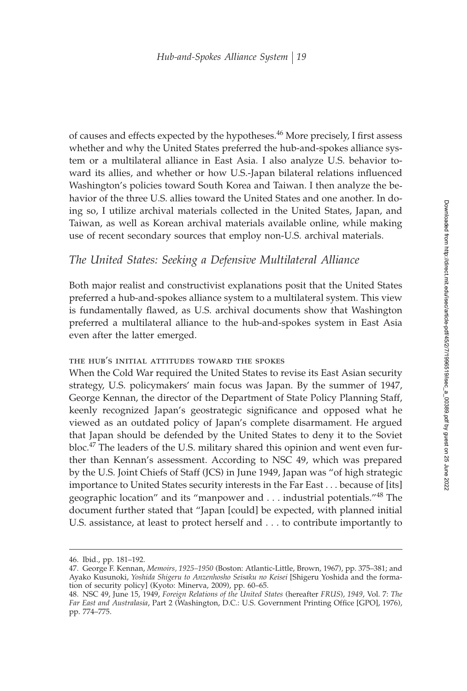of causes and effects expected by the hypotheses.<sup>46</sup> More precisely, I first assess whether and why the United States preferred the hub-and-spokes alliance system or a multilateral alliance in East Asia. I also analyze U.S. behavior toward its allies, and whether or how U.S.-Japan bilateral relations influenced Washington's policies toward South Korea and Taiwan. I then analyze the behavior of the three U.S. allies toward the United States and one another. In doing so, I utilize archival materials collected in the United States, Japan, and Taiwan, as well as Korean archival materials available online, while making use of recent secondary sources that employ non-U.S. archival materials.

## *The United States: Seeking a Defensive Multilateral Alliance*

Both major realist and constructivist explanations posit that the United States preferred a hub-and-spokes alliance system to a multilateral system. This view is fundamentally flawed, as U.S. archival documents show that Washington preferred a multilateral alliance to the hub-and-spokes system in East Asia even after the latter emerged.

## the hub's initial attitudes toward the spokes

When the Cold War required the United States to revise its East Asian security strategy, U.S. policymakers' main focus was Japan. By the summer of 1947, George Kennan, the director of the Department of State Policy Planning Staff, keenly recognized Japan's geostrategic significance and opposed what he viewed as an outdated policy of Japan's complete disarmament. He argued that Japan should be defended by the United States to deny it to the Soviet bloc.<sup>47</sup> The leaders of the U.S. military shared this opinion and went even further than Kennan's assessment. According to NSC 49, which was prepared by the U.S. Joint Chiefs of Staff (JCS) in June 1949, Japan was "of high strategic importance to United States security interests in the Far East... because of [its] geographic location" and its "manpower and... industrial potentials."<sup>48</sup> The document further stated that "Japan [could] be expected, with planned initial U.S. assistance, at least to protect herself and . . . to contribute importantly to

<sup>46.</sup> Ibid., pp. 181–192.

<sup>47.</sup> George F. Kennan, *Memoirs, 1925–1950* (Boston: Atlantic-Little, Brown, 1967), pp. 375–381; and Ayako Kusunoki, *Yoshida Shigeru to Anzenhosho Seisaku no Keisei* [Shigeru Yoshida and the formation of security policy] (Kyoto: Minerva, 2009), pp. 60–65.

<sup>48.</sup> NSC 49, June 15, 1949, *Foreign Relations of the United States* (hereafter *FRUS*), *1949*, Vol. 7: *The Far East and Australasia*, Part 2 (Washington, D.C.: U.S. Government Printing Office [GPO], 1976), pp. 774–775.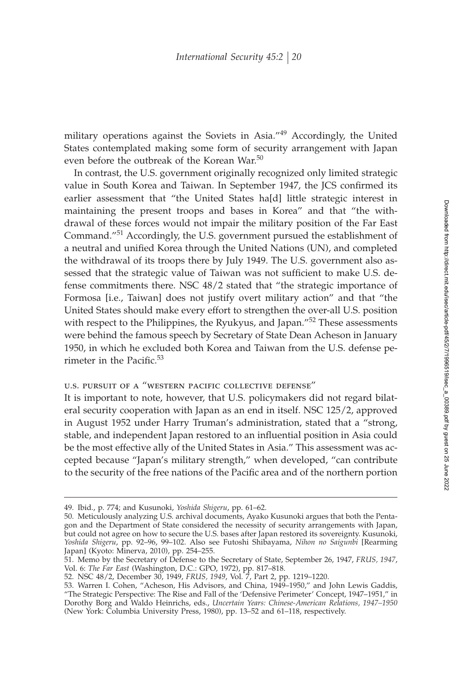military operations against the Soviets in Asia."<sup>49</sup> Accordingly, the United States contemplated making some form of security arrangement with Japan even before the outbreak of the Korean War.<sup>50</sup>

In contrast, the U.S. government originally recognized only limited strategic value in South Korea and Taiwan. In September 1947, the JCS confirmed its earlier assessment that "the United States ha[d] little strategic interest in maintaining the present troops and bases in Korea" and that "the withdrawal of these forces would not impair the military position of the Far East Command."<sup>51</sup> Accordingly, the U.S. government pursued the establishment of a neutral and unified Korea through the United Nations (UN), and completed the withdrawal of its troops there by July 1949. The U.S. government also assessed that the strategic value of Taiwan was not sufficient to make U.S. defense commitments there. NSC 48/2 stated that "the strategic importance of Formosa [i.e., Taiwan] does not justify overt military action" and that "the United States should make every effort to strengthen the over-all U.S. position with respect to the Philippines, the Ryukyus, and Japan."<sup>52</sup> These assessments were behind the famous speech by Secretary of State Dean Acheson in January 1950, in which he excluded both Korea and Taiwan from the U.S. defense perimeter in the Pacific. $53$ 

## U.S. PURSUIT OF A "WESTERN PACIFIC COLLECTIVE DEFENSE"

It is important to note, however, that U.S. policymakers did not regard bilateral security cooperation with Japan as an end in itself. NSC 125/2, approved in August 1952 under Harry Truman's administration, stated that a "strong, stable, and independent Japan restored to an influential position in Asia could be the most effective ally of the United States in Asia." This assessment was accepted because "Japan's military strength," when developed, "can contribute to the security of the free nations of the Pacific area and of the northern portion

<sup>49.</sup> Ibid., p. 774; and Kusunoki, *Yoshida Shigeru*, pp. 61–62.

<sup>50.</sup> Meticulously analyzing U.S. archival documents, Ayako Kusunoki argues that both the Pentagon and the Department of State considered the necessity of security arrangements with Japan, but could not agree on how to secure the U.S. bases after Japan restored its sovereignty. Kusunoki, *Yoshida Shigeru*, pp. 92–96, 99–102. Also see Futoshi Shibayama, *Nihon no Saigunbi* [Rearming Japan] (Kyoto: Minerva, 2010), pp. 254–255.

<sup>51.</sup> Memo by the Secretary of Defense to the Secretary of State, September 26, 1947, *FRUS, 1947*, Vol. 6: *The Far East* (Washington, D.C.: GPO, 1972), pp. 817–818.

<sup>52.</sup> NSC 48/2, December 30, 1949, *FRUS, 1949*, Vol. 7, Part 2, pp. 1219–1220.

<sup>53.</sup> Warren I. Cohen, "Acheson, His Advisors, and China, 1949–1950," and John Lewis Gaddis, "The Strategic Perspective: The Rise and Fall of the 'Defensive Perimeter' Concept, 1947–1951," in Dorothy Borg and Waldo Heinrichs, eds., *Uncertain Years: Chinese-American Relations, 1947–1950* (New York: Columbia University Press, 1980), pp. 13–52 and 61–118, respectively.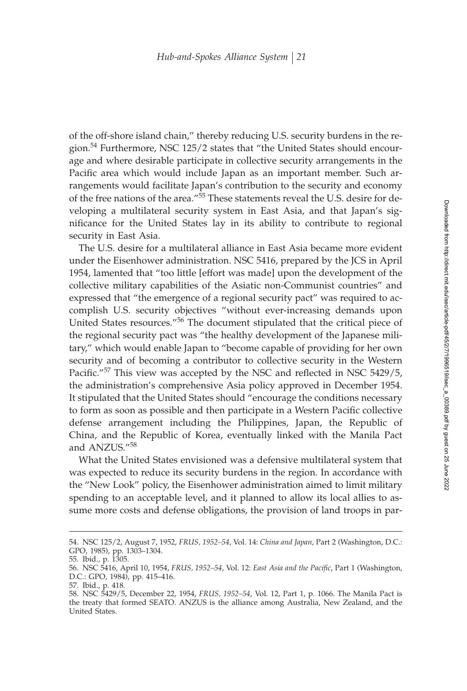of the off-shore island chain," thereby reducing U.S. security burdens in the region.<sup>54</sup> Furthermore, NSC 125/2 states that "the United States should encourage and where desirable participate in collective security arrangements in the Pacific area which would include Japan as an important member. Such arrangements would facilitate Japan's contribution to the security and economy of the free nations of the area."<sup>55</sup> These statements reveal the U.S. desire for developing a multilateral security system in East Asia, and that Japan's significance for the United States lay in its ability to contribute to regional security in East Asia.

The U.S. desire for a multilateral alliance in East Asia became more evident under the Eisenhower administration. NSC 5416, prepared by the JCS in April 1954, lamented that "too little [effort was made] upon the development of the collective military capabilities of the Asiatic non-Communist countries" and expressed that "the emergence of a regional security pact" was required to accomplish U.S. security objectives "without ever-increasing demands upon United States resources."<sup>56</sup> The document stipulated that the critical piece of the regional security pact was "the healthy development of the Japanese military," which would enable Japan to "become capable of providing for her own security and of becoming a contributor to collective security in the Western Pacific."<sup>57</sup> This view was accepted by the NSC and reflected in NSC 5429/5, the administration's comprehensive Asia policy approved in December 1954. It stipulated that the United States should "encourage the conditions necessary to form as soon as possible and then participate in a Western Pacific collective defense arrangement including the Philippines, Japan, the Republic of China, and the Republic of Korea, eventually linked with the Manila Pact and ANZUS."<sup>58</sup>

What the United States envisioned was a defensive multilateral system that was expected to reduce its security burdens in the region. In accordance with the "New Look" policy, the Eisenhower administration aimed to limit military spending to an acceptable level, and it planned to allow its local allies to assume more costs and defense obligations, the provision of land troops in par-

<sup>54.</sup> NSC 125/2, August 7, 1952, *FRUS, 1952–54*, Vol. 14: *China and Japan*, Part 2 (Washington, D.C.: GPO, 1985), pp. 1303–1304.

<sup>55.</sup> Ibid., p. 1305.

<sup>56.</sup> NSC 5416, April 10, 1954, *FRUS, 1952–54*, Vol. 12: *East Asia and the Pacific*, Part 1 (Washington, D.C.: GPO, 1984), pp. 415–416.

<sup>57.</sup> Ibid., p. 418.

<sup>58.</sup> NSC 5429/5, December 22, 1954, *FRUS, 1952–54*, Vol. 12, Part 1, p. 1066. The Manila Pact is the treaty that formed SEATO. ANZUS is the alliance among Australia, New Zealand, and the United States.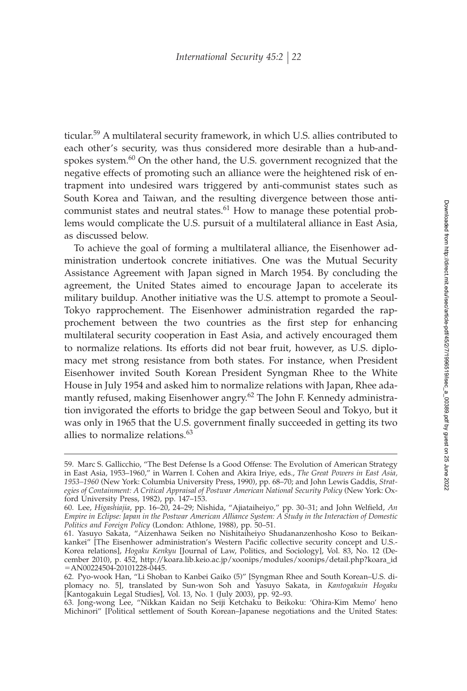ticular.<sup>59</sup> A multilateral security framework, in which U.S. allies contributed to each other's security, was thus considered more desirable than a hub-andspokes system.<sup>60</sup> On the other hand, the U.S. government recognized that the negative effects of promoting such an alliance were the heightened risk of entrapment into undesired wars triggered by anti-communist states such as South Korea and Taiwan, and the resulting divergence between those anticommunist states and neutral states.<sup>61</sup> How to manage these potential problems would complicate the U.S. pursuit of a multilateral alliance in East Asia, as discussed below.

To achieve the goal of forming a multilateral alliance, the Eisenhower administration undertook concrete initiatives. One was the Mutual Security Assistance Agreement with Japan signed in March 1954. By concluding the agreement, the United States aimed to encourage Japan to accelerate its military buildup. Another initiative was the U.S. attempt to promote a Seoul-Tokyo rapprochement. The Eisenhower administration regarded the rapprochement between the two countries as the first step for enhancing multilateral security cooperation in East Asia, and actively encouraged them to normalize relations. Its efforts did not bear fruit, however, as U.S. diplomacy met strong resistance from both states. For instance, when President Eisenhower invited South Korean President Syngman Rhee to the White House in July 1954 and asked him to normalize relations with Japan, Rhee adamantly refused, making Eisenhower angry.<sup>62</sup> The John F. Kennedy administration invigorated the efforts to bridge the gap between Seoul and Tokyo, but it was only in 1965 that the U.S. government finally succeeded in getting its two allies to normalize relations.<sup>63</sup>

<sup>59.</sup> Marc S. Gallicchio, "The Best Defense Is a Good Offense: The Evolution of American Strategy in East Asia, 1953–1960," in Warren I. Cohen and Akira Iriye, eds., *The Great Powers in East Asia, 1953–1960* (New York: Columbia University Press, 1990), pp. 68–70; and John Lewis Gaddis, *Strategies of Containment: A Critical Appraisal of Postwar American National Security Policy* (New York: Oxford University Press, 1982), pp. 147–153.

<sup>60.</sup> Lee, *Higashiajia*, pp. 16–20, 24–29; Nishida, "Ajiataiheiyo," pp. 30–31; and John Welfield, An *Empire in Eclipse: Japan in the Postwar American Alliance System: A Study in the Interaction of Domestic Politics and Foreign Policy* (London: Athlone, 1988), pp. 50–51.

<sup>61.</sup> Yasuyo Sakata, "Aizenhawa Seiken no Nishitaiheiyo Shudananzenhosho Koso to Beikankankei" [The Eisenhower administration's Western Pacific collective security concept and U.S.-Korea relations], *Hogaku Kenkyu* [Journal of Law, Politics, and Sociology], Vol. 83, No. 12 (December 2010), p. 452, http://koara.lib.keio.ac.jp/xoonips/modules/xoonips/detail.php?koara\_id -AN00224504-20101228-0445.

<sup>62.</sup> Pyo-wook Han, "Li Shoban to Kanbei Gaiko (5)" [Syngman Rhee and South Korean–U.S. diplomacy no. 5], translated by Sun-won Soh and Yasuyo Sakata, in *Kantogakuin Hogaku* [Kantogakuin Legal Studies], Vol. 13, No. 1 (July 2003), pp. 92–93.

<sup>63.</sup> Jong-wong Lee, "Nikkan Kaidan no Seiji Ketchaku to Beikoku: 'Ohira-Kim Memo' heno Michinori" [Political settlement of South Korean–Japanese negotiations and the United States: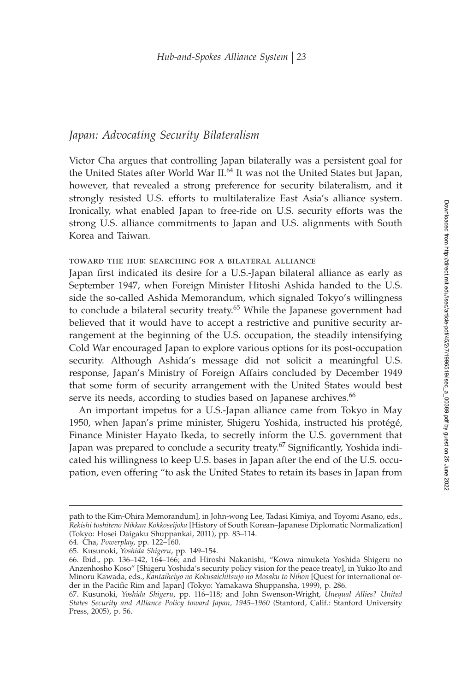## *Japan: Advocating Security Bilateralism*

Victor Cha argues that controlling Japan bilaterally was a persistent goal for the United States after World War II.<sup>64</sup> It was not the United States but Japan, however, that revealed a strong preference for security bilateralism, and it strongly resisted U.S. efforts to multilateralize East Asia's alliance system. Ironically, what enabled Japan to free-ride on U.S. security efforts was the strong U.S. alliance commitments to Japan and U.S. alignments with South Korea and Taiwan.

## toward the hub: searching for a bilateral alliance

Japan first indicated its desire for a U.S.-Japan bilateral alliance as early as September 1947, when Foreign Minister Hitoshi Ashida handed to the U.S. side the so-called Ashida Memorandum, which signaled Tokyo's willingness to conclude a bilateral security treaty.<sup>65</sup> While the Japanese government had believed that it would have to accept a restrictive and punitive security arrangement at the beginning of the U.S. occupation, the steadily intensifying Cold War encouraged Japan to explore various options for its post-occupation security. Although Ashida's message did not solicit a meaningful U.S. response, Japan's Ministry of Foreign Affairs concluded by December 1949 that some form of security arrangement with the United States would best serve its needs, according to studies based on Japanese archives.<sup>66</sup>

An important impetus for a U.S.-Japan alliance came from Tokyo in May 1950, when Japan's prime minister, Shigeru Yoshida, instructed his protégé, Finance Minister Hayato Ikeda, to secretly inform the U.S. government that Japan was prepared to conclude a security treaty.<sup>67</sup> Significantly, Yoshida indicated his willingness to keep U.S. bases in Japan after the end of the U.S. occupation, even offering "to ask the United States to retain its bases in Japan from

path to the Kim-Ohira Memorandum], in John-wong Lee, Tadasi Kimiya, and Toyomi Asano, eds., *Rekishi toshiteno Nikkan Kokkoseijoka* [History of South Korean–Japanese Diplomatic Normalization] (Tokyo: Hosei Daigaku Shuppankai, 2011), pp. 83–114.

<sup>64.</sup> Cha, *Powerplay*, pp. 122–160.

<sup>65.</sup> Kusunoki, *Yoshida Shigeru*, pp. 149–154.

<sup>66.</sup> Ibid., pp. 136–142, 164–166; and Hiroshi Nakanishi, "Kowa nimuketa Yoshida Shigeru no Anzenhosho Koso" [Shigeru Yoshida's security policy vision for the peace treaty], in Yukio Ito and Minoru Kawada, eds., *Kantaiheiyo no Kokusaichitsujo no Mosaku to Nihon* [Quest for international order in the Pacific Rim and Japan] (Tokyo: Yamakawa Shuppansha, 1999), p. 286.

<sup>67.</sup> Kusunoki, *Yoshida Shigeru*, pp. 116–118; and John Swenson-Wright, *Unequal Allies? United States Security and Alliance Policy toward Japan, 1945–1960* (Stanford, Calif.: Stanford University Press, 2005), p. 56.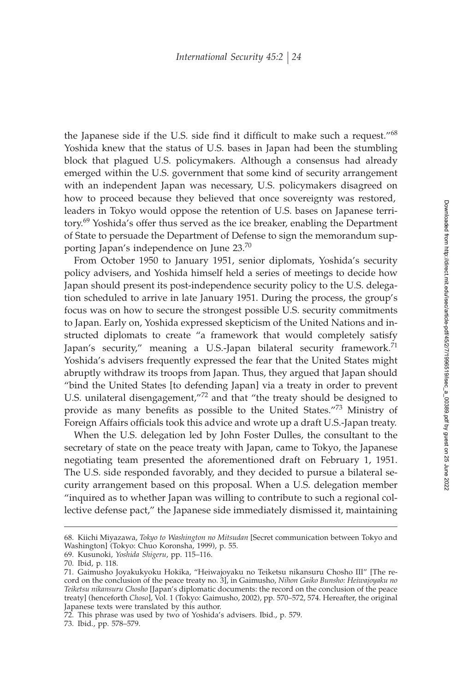the Japanese side if the U.S. side find it difficult to make such a request." $68$ Yoshida knew that the status of U.S. bases in Japan had been the stumbling block that plagued U.S. policymakers. Although a consensus had already emerged within the U.S. government that some kind of security arrangement with an independent Japan was necessary, U.S. policymakers disagreed on how to proceed because they believed that once sovereignty was restored, leaders in Tokyo would oppose the retention of U.S. bases on Japanese territory.<sup>69</sup> Yoshida's offer thus served as the ice breaker, enabling the Department of State to persuade the Department of Defense to sign the memorandum supporting Japan's independence on June 23.<sup>70</sup>

From October 1950 to January 1951, senior diplomats, Yoshida's security policy advisers, and Yoshida himself held a series of meetings to decide how Japan should present its post-independence security policy to the U.S. delegation scheduled to arrive in late January 1951. During the process, the group's focus was on how to secure the strongest possible U.S. security commitments to Japan. Early on, Yoshida expressed skepticism of the United Nations and instructed diplomats to create "a framework that would completely satisfy Japan's security," meaning a U.S.-Japan bilateral security framework.<sup>71</sup> Yoshida's advisers frequently expressed the fear that the United States might abruptly withdraw its troops from Japan. Thus, they argued that Japan should "bind the United States [to defending Japan] via a treaty in order to prevent U.S. unilateral disengagement,"<sup>72</sup> and that "the treaty should be designed to provide as many benefits as possible to the United States."<sup>73</sup> Ministry of Foreign Affairs officials took this advice and wrote up a draft U.S.-Japan treaty.

When the U.S. delegation led by John Foster Dulles, the consultant to the secretary of state on the peace treaty with Japan, came to Tokyo, the Japanese negotiating team presented the aforementioned draft on February 1, 1951. The U.S. side responded favorably, and they decided to pursue a bilateral security arrangement based on this proposal. When a U.S. delegation member "inquired as to whether Japan was willing to contribute to such a regional collective defense pact," the Japanese side immediately dismissed it, maintaining

<sup>68.</sup> Kiichi Miyazawa, *Tokyo to Washington no Mitsudan* [Secret communication between Tokyo and Washington] (Tokyo: Chuo Koronsha, 1999), p. 55.

<sup>69.</sup> Kusunoki, *Yoshida Shigeru*, pp. 115–116.

<sup>70.</sup> Ibid, p. 118.

<sup>71.</sup> Gaimusho Joyakukyoku Hokika, "Heiwajoyaku no Teiketsu nikansuru Chosho III" [The record on the conclusion of the peace treaty no. 3], in Gaimusho, *Nihon Gaiko Bunsho: Heiwajoyaku no Teiketsu nikansuru Chosho* [Japan's diplomatic documents: the record on the conclusion of the peace treaty] (henceforth *Choso*], Vol. 1 (Tokyo: Gaimusho, 2002), pp. 570–572, 574. Hereafter, the original Japanese texts were translated by this author.

<sup>72.</sup> This phrase was used by two of Yoshida's advisers. Ibid., p. 579.

<sup>73.</sup> Ibid., pp. 578–579.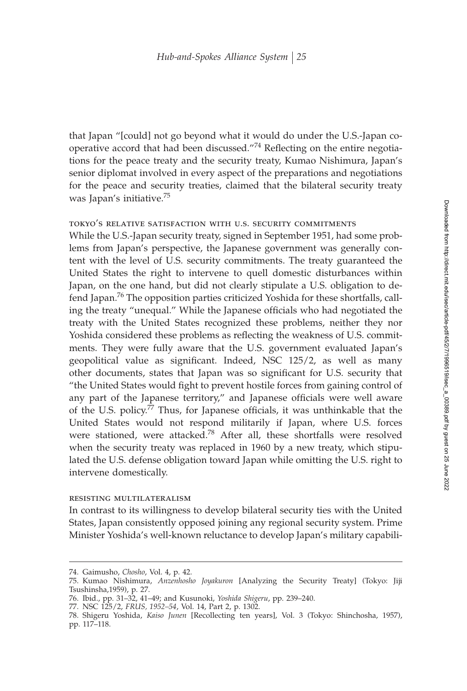that Japan "[could] not go beyond what it would do under the U.S.-Japan cooperative accord that had been discussed."<sup>74</sup> Reflecting on the entire negotiations for the peace treaty and the security treaty, Kumao Nishimura, Japan's senior diplomat involved in every aspect of the preparations and negotiations for the peace and security treaties, claimed that the bilateral security treaty was Japan's initiative.<sup>75</sup>

### tokyo's relative satisfaction with u.s. security commitments

While the U.S.-Japan security treaty, signed in September 1951, had some problems from Japan's perspective, the Japanese government was generally content with the level of U.S. security commitments. The treaty guaranteed the United States the right to intervene to quell domestic disturbances within Japan, on the one hand, but did not clearly stipulate a U.S. obligation to defend Japan.<sup>76</sup> The opposition parties criticized Yoshida for these shortfalls, calling the treaty "unequal." While the Japanese officials who had negotiated the treaty with the United States recognized these problems, neither they nor Yoshida considered these problems as reflecting the weakness of U.S. commitments. They were fully aware that the U.S. government evaluated Japan's geopolitical value as significant. Indeed, NSC 125/2, as well as many other documents, states that Japan was so significant for U.S. security that "the United States would fight to prevent hostile forces from gaining control of any part of the Japanese territory," and Japanese officials were well aware of the U.S. policy.<sup>77</sup> Thus, for Japanese officials, it was unthinkable that the United States would not respond militarily if Japan, where U.S. forces were stationed, were attacked.<sup>78</sup> After all, these shortfalls were resolved when the security treaty was replaced in 1960 by a new treaty, which stipulated the U.S. defense obligation toward Japan while omitting the U.S. right to intervene domestically.

#### resisting multilateralism

In contrast to its willingness to develop bilateral security ties with the United States, Japan consistently opposed joining any regional security system. Prime Minister Yoshida's well-known reluctance to develop Japan's military capabili-

<sup>74.</sup> Gaimusho, *Chosho*, Vol. 4, p. 42.

<sup>75.</sup> Kumao Nishimura, *Anzenhosho Joyakuron* [Analyzing the Security Treaty] (Tokyo: Jiji Tsushinsha,1959), p. 27.

<sup>76.</sup> Ibid., pp. 31–32, 41–49; and Kusunoki, *Yoshida Shigeru*, pp. 239–240.

<sup>77.</sup> NSC 125/2, *FRUS, 1952–54*, Vol. 14, Part 2, p. 1302.

<sup>78.</sup> Shigeru Yoshida, *Kaiso Junen* [Recollecting ten years], Vol. 3 (Tokyo: Shinchosha, 1957), pp. 117–118.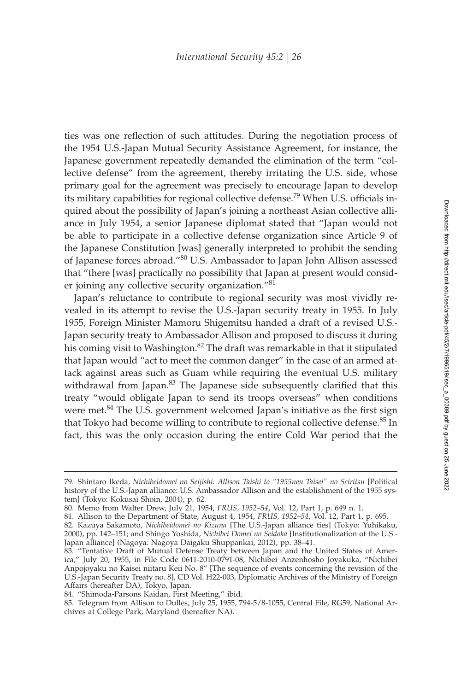ties was one reflection of such attitudes. During the negotiation process of the 1954 U.S.-Japan Mutual Security Assistance Agreement, for instance, the Japanese government repeatedly demanded the elimination of the term "collective defense" from the agreement, thereby irritating the U.S. side, whose primary goal for the agreement was precisely to encourage Japan to develop its military capabilities for regional collective defense.<sup>79</sup> When U.S. officials inquired about the possibility of Japan's joining a northeast Asian collective alliance in July 1954, a senior Japanese diplomat stated that "Japan would not be able to participate in a collective defense organization since Article 9 of the Japanese Constitution [was] generally interpreted to prohibit the sending of Japanese forces abroad."<sup>80</sup> U.S. Ambassador to Japan John Allison assessed that "there [was] practically no possibility that Japan at present would consider joining any collective security organization."<sup>81</sup>

Japan's reluctance to contribute to regional security was most vividly revealed in its attempt to revise the U.S.-Japan security treaty in 1955. In July 1955, Foreign Minister Mamoru Shigemitsu handed a draft of a revised U.S.- Japan security treaty to Ambassador Allison and proposed to discuss it during his coming visit to Washington.<sup>82</sup> The draft was remarkable in that it stipulated that Japan would "act to meet the common danger" in the case of an armed attack against areas such as Guam while requiring the eventual U.S. military withdrawal from Japan. $83$  The Japanese side subsequently clarified that this treaty "would obligate Japan to send its troops overseas" when conditions were met.<sup>84</sup> The U.S. government welcomed Japan's initiative as the first sign that Tokyo had become willing to contribute to regional collective defense.<sup>85</sup> In fact, this was the only occasion during the entire Cold War period that the

<sup>79.</sup> Shintaro Ikeda, *Nichibeidomei no Seijishi: Allison Taishi to "1955nen Taisei" no Seiritsu* [Political history of the U.S.-Japan alliance: U.S. Ambassador Allison and the establishment of the 1955 system] (Tokyo: Kokusai Shoin, 2004), p. 62.

<sup>80.</sup> Memo from Walter Drew, July 21, 1954, *FRUS, 1952–54*, Vol. 12, Part 1, p. 649 n. 1.

<sup>81.</sup> Allison to the Department of State, August 4, 1954, *FRUS, 1952–54*, Vol. 12, Part 1, p. 695.

<sup>82.</sup> Kazuya Sakamoto, *Nichibeidomei no Kizuna* [The U.S.-Japan alliance ties] (Tokyo: Yuhikaku, 2000), pp. 142–151; and Shingo Yoshida, *Nichibei Domei no Seidoka* [Institutionalization of the U.S.- Japan alliance] (Nagoya: Nagoya Daigaku Shuppankai, 2012), pp. 38–41.

<sup>83. &</sup>quot;Tentative Draft of Mutual Defense Treaty between Japan and the United States of America," July 20, 1955, in File Code 0611-2010-0791-08, Nichibei Anzenhosho Joyakuka, "Nichibei Anpojoyaku no Kaisei niitaru Keii No. 8" [The sequence of events concerning the revision of the U.S.-Japan Security Treaty no. 8], CD Vol. H22-003, Diplomatic Archives of the Ministry of Foreign Affairs (hereafter DA), Tokyo, Japan.

<sup>84. &</sup>quot;Shimoda-Parsons Kaidan, First Meeting," ibid.

<sup>85.</sup> Telegram from Allison to Dulles, July 25, 1955, 794-5/8-1055, Central File, RG59, National Archives at College Park, Maryland (hereafter NA).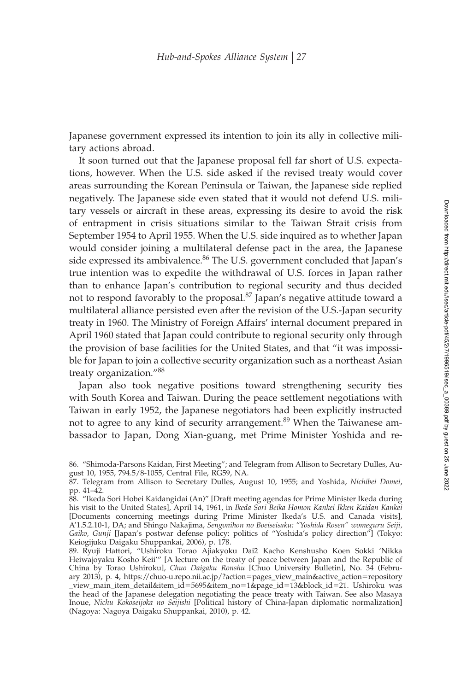Japanese government expressed its intention to join its ally in collective military actions abroad.

It soon turned out that the Japanese proposal fell far short of U.S. expectations, however. When the U.S. side asked if the revised treaty would cover areas surrounding the Korean Peninsula or Taiwan, the Japanese side replied negatively. The Japanese side even stated that it would not defend U.S. military vessels or aircraft in these areas, expressing its desire to avoid the risk of entrapment in crisis situations similar to the Taiwan Strait crisis from September 1954 to April 1955. When the U.S. side inquired as to whether Japan would consider joining a multilateral defense pact in the area, the Japanese side expressed its ambivalence.<sup>86</sup> The U.S. government concluded that Japan's true intention was to expedite the withdrawal of U.S. forces in Japan rather than to enhance Japan's contribution to regional security and thus decided not to respond favorably to the proposal.<sup>87</sup> Japan's negative attitude toward a multilateral alliance persisted even after the revision of the U.S.-Japan security treaty in 1960. The Ministry of Foreign Affairs' internal document prepared in April 1960 stated that Japan could contribute to regional security only through the provision of base facilities for the United States, and that "it was impossible for Japan to join a collective security organization such as a northeast Asian treaty organization."<sup>88</sup>

Japan also took negative positions toward strengthening security ties with South Korea and Taiwan. During the peace settlement negotiations with Taiwan in early 1952, the Japanese negotiators had been explicitly instructed not to agree to any kind of security arrangement.<sup>89</sup> When the Taiwanese ambassador to Japan, Dong Xian-guang, met Prime Minister Yoshida and re-

<sup>86. &</sup>quot;Shimoda-Parsons Kaidan, First Meeting"; and Telegram from Allison to Secretary Dulles, August 10, 1955, 794.5/8-1055, Central File, RG59, NA.

<sup>87.</sup> Telegram from Allison to Secretary Dulles, August 10, 1955; and Yoshida, *Nichibei Domei*, pp. 41–42.

<sup>88. &</sup>quot;Ikeda Sori Hobei Kaidangidai (An)" [Draft meeting agendas for Prime Minister Ikeda during his visit to the United States], April 14, 1961, in *Ikeda Sori Beika Homon Kankei Ikken Kaidan Kankei* [Documents concerning meetings during Prime Minister Ikeda's U.S. and Canada visits], A'1.5.2.10-1, DA; and Shingo Nakajima, *Sengonihon no Boeiseisaku: "Yoshida Rosen" womeguru Seiji, Gaiko, Gunji* [Japan's postwar defense policy: politics of "Yoshida's policy direction"] (Tokyo: Keiogijuku Daigaku Shuppankai, 2006), p. 178.

<sup>89.</sup> Ryuji Hattori, "Ushiroku Torao Ajiakyoku Dai2 Kacho Kenshusho Koen Sokki 'Nikka Heiwajoyaku Kosho Keii'" [A lecture on the treaty of peace between Japan and the Republic of China by Torao Ushiroku], *Chuo Daigaku Ronshu* [Chuo University Bulletin], No. 34 (February 2013), p. 4, https://chuo-u.repo.nii.ac.jp/?action-pages\_view\_main&active\_action-repository \_view\_main\_item\_detail&item\_id-5695&item\_no-1&page\_id-13&block\_id-21. Ushiroku was the head of the Japanese delegation negotiating the peace treaty with Taiwan. See also Masaya Inoue, *Nichu Kokoseijoka no Seijishi* [Political history of China-Japan diplomatic normalization] (Nagoya: Nagoya Daigaku Shuppankai, 2010), p. 42.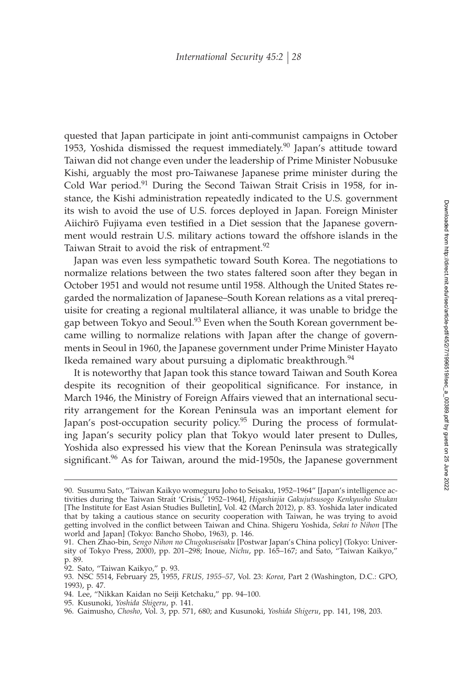quested that Japan participate in joint anti-communist campaigns in October 1953, Yoshida dismissed the request immediately.<sup>90</sup> Japan's attitude toward Taiwan did not change even under the leadership of Prime Minister Nobusuke Kishi, arguably the most pro-Taiwanese Japanese prime minister during the Cold War period.<sup>91</sup> During the Second Taiwan Strait Crisis in 1958, for instance, the Kishi administration repeatedly indicated to the U.S. government its wish to avoid the use of U.S. forces deployed in Japan. Foreign Minister Aiichirō Fujiyama even testified in a Diet session that the Japanese government would restrain U.S. military actions toward the offshore islands in the Taiwan Strait to avoid the risk of entrapment.<sup>92</sup>

Japan was even less sympathetic toward South Korea. The negotiations to normalize relations between the two states faltered soon after they began in October 1951 and would not resume until 1958. Although the United States regarded the normalization of Japanese–South Korean relations as a vital prerequisite for creating a regional multilateral alliance, it was unable to bridge the gap between Tokyo and Seoul.<sup>93</sup> Even when the South Korean government became willing to normalize relations with Japan after the change of governments in Seoul in 1960, the Japanese government under Prime Minister Hayato Ikeda remained wary about pursuing a diplomatic breakthrough. $94$ 

It is noteworthy that Japan took this stance toward Taiwan and South Korea despite its recognition of their geopolitical significance. For instance, in March 1946, the Ministry of Foreign Affairs viewed that an international security arrangement for the Korean Peninsula was an important element for Japan's post-occupation security policy.<sup>95</sup> During the process of formulating Japan's security policy plan that Tokyo would later present to Dulles, Yoshida also expressed his view that the Korean Peninsula was strategically significant.<sup>96</sup> As for Taiwan, around the mid-1950s, the Japanese government

- 94. Lee, "Nikkan Kaidan no Seiji Ketchaku," pp. 94–100.
- 95. Kusunoki, *Yoshida Shigeru*, p. 141.

<sup>90.</sup> Susumu Sato, "Taiwan Kaikyo womeguru Joho to Seisaku, 1952–1964" [Japan's intelligence activities during the Taiwan Strait 'Crisis,' 1952–1964], *Higashiajia Gakujutsusogo Kenkyusho Shukan* [The Institute for East Asian Studies Bulletin], Vol. 42 (March 2012), p. 83. Yoshida later indicated that by taking a cautious stance on security cooperation with Taiwan, he was trying to avoid getting involved in the conflict between Taiwan and China. Shigeru Yoshida, *Sekai to Nihon* [The world and Japan] (Tokyo: Bancho Shobo, 1963), p. 146.

<sup>91.</sup> Chen Zhao-bin, *Sengo Nihon no Chugokuseisaku* [Postwar Japan's China policy] (Tokyo: University of Tokyo Press, 2000), pp. 201–298; Inoue, *Nichu*, pp. 165–167; and Sato, "Taiwan Kaikyo," p. 89.

<sup>92.</sup> Sato, "Taiwan Kaikyo," p. 93.

<sup>93.</sup> NSC 5514, February 25, 1955, *FRUS, 1955–57*, Vol. 23: *Korea*, Part 2 (Washington, D.C.: GPO, 1993), p. 47.

<sup>96.</sup> Gaimusho, *Chosho*, Vol. 3, pp. 571, 680; and Kusunoki, *Yoshida Shigeru*, pp. 141, 198, 203.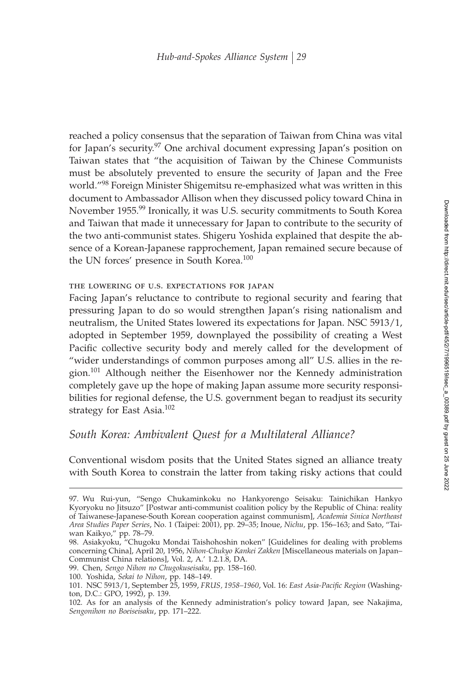reached a policy consensus that the separation of Taiwan from China was vital for Japan's security.<sup>97</sup> One archival document expressing Japan's position on Taiwan states that "the acquisition of Taiwan by the Chinese Communists must be absolutely prevented to ensure the security of Japan and the Free world."<sup>98</sup> Foreign Minister Shigemitsu re-emphasized what was written in this document to Ambassador Allison when they discussed policy toward China in November 1955.<sup>99</sup> Ironically, it was U.S. security commitments to South Korea and Taiwan that made it unnecessary for Japan to contribute to the security of the two anti-communist states. Shigeru Yoshida explained that despite the absence of a Korean-Japanese rapprochement, Japan remained secure because of the UN forces' presence in South Korea.<sup>100</sup>

#### the lowering of u.s. expectations for japan

Facing Japan's reluctance to contribute to regional security and fearing that pressuring Japan to do so would strengthen Japan's rising nationalism and neutralism, the United States lowered its expectations for Japan. NSC 5913/1, adopted in September 1959, downplayed the possibility of creating a West Pacific collective security body and merely called for the development of "wider understandings of common purposes among all" U.S. allies in the region.<sup>101</sup> Although neither the Eisenhower nor the Kennedy administration completely gave up the hope of making Japan assume more security responsibilities for regional defense, the U.S. government began to readjust its security strategy for East Asia.<sup>102</sup>

## *South Korea: Ambivalent Quest for a Multilateral Alliance?*

Conventional wisdom posits that the United States signed an alliance treaty with South Korea to constrain the latter from taking risky actions that could

<sup>97.</sup> Wu Rui-yun, "Sengo Chukaminkoku no Hankyorengo Seisaku: Tainichikan Hankyo Kyoryoku no Jitsuzo" [Postwar anti-communist coalition policy by the Republic of China: reality of Taiwanese-Japanese-South Korean cooperation against communism], *Academia Sinica Northeast Area Studies Paper Series*, No. 1 (Taipei: 2001), pp. 29–35; Inoue, *Nichu*, pp. 156–163; and Sato, "Taiwan Kaikyo," pp. 78–79.

<sup>98.</sup> Asiakyoku, "Chugoku Mondai Taishohoshin noken" [Guidelines for dealing with problems concerning China], April 20, 1956, *Nihon-Chukyo Kankei Zakken* [Miscellaneous materials on Japan– Communist China relations], Vol. 2, A.' 1.2.1.8, DA.

<sup>99.</sup> Chen, *Sengo Nihon no Chugokuseisaku*, pp. 158–160.

<sup>100.</sup> Yoshida, *Sekai to Nihon*, pp. 148–149.

<sup>101.</sup> NSC 5913/1, September 25, 1959, *FRUS, 1958–1960, Vol. 16: East Asia-Pacific Region* (Washington, D.C.: GPO, 1992), p. 139.

<sup>102.</sup> As for an analysis of the Kennedy administration's policy toward Japan, see Nakajima, *Sengonihon no Boeiseisaku*, pp. 171–222.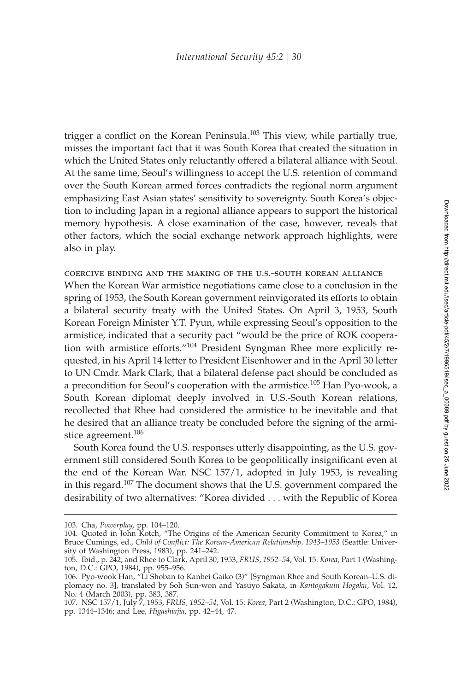trigger a conflict on the Korean Peninsula.<sup>103</sup> This view, while partially true, misses the important fact that it was South Korea that created the situation in which the United States only reluctantly offered a bilateral alliance with Seoul. At the same time, Seoul's willingness to accept the U.S. retention of command over the South Korean armed forces contradicts the regional norm argument emphasizing East Asian states' sensitivity to sovereignty. South Korea's objection to including Japan in a regional alliance appears to support the historical memory hypothesis. A close examination of the case, however, reveals that other factors, which the social exchange network approach highlights, were also in play.

coercive binding and the making of the u.s.–south korean alliance When the Korean War armistice negotiations came close to a conclusion in the spring of 1953, the South Korean government reinvigorated its efforts to obtain a bilateral security treaty with the United States. On April 3, 1953, South Korean Foreign Minister Y.T. Pyun, while expressing Seoul's opposition to the armistice, indicated that a security pact "would be the price of ROK cooperation with armistice efforts."<sup>104</sup> President Syngman Rhee more explicitly requested, in his April 14 letter to President Eisenhower and in the April 30 letter to UN Cmdr. Mark Clark, that a bilateral defense pact should be concluded as a precondition for Seoul's cooperation with the armistice.<sup>105</sup> Han Pyo-wook, a South Korean diplomat deeply involved in U.S.-South Korean relations, recollected that Rhee had considered the armistice to be inevitable and that he desired that an alliance treaty be concluded before the signing of the armistice agreement.<sup>106</sup>

South Korea found the U.S. responses utterly disappointing, as the U.S. government still considered South Korea to be geopolitically insignificant even at the end of the Korean War. NSC 157/1, adopted in July 1953, is revealing in this regard.<sup>107</sup> The document shows that the U.S. government compared the desirability of two alternatives: "Korea divided... with the Republic of Korea

<sup>103.</sup> Cha, *Powerplay*, pp. 104–120.

<sup>104.</sup> Quoted in John Kotch, "The Origins of the American Security Commitment to Korea," in Bruce Cumings, ed., *Child of Conflict: The Korean-American Relationship*, 1943–1953 (Seattle: University of Washington Press, 1983), pp. 241–242.

<sup>105.</sup> Ibid., p. 242; and Rhee to Clark, April 30, 1953, *FRUS*, *1952–54*, Vol. 15: *Korea*, Part 1 (Washington, D.C.: GPO, 1984), pp. 955–956.

<sup>106.</sup> Pyo-wook Han, "Li Shoban to Kanbei Gaiko (3)" [Syngman Rhee and South Korean–U.S. diplomacy no. 3], translated by Soh Sun-won and Yasuyo Sakata, in *Kantogakuin Hogaku*, Vol. 12, No. 4 (March 2003), pp. 383, 387.

<sup>107.</sup> NSC 157/1, July 7, 1953, *FRUS, 1952–54*, Vol. 15: *Korea*, Part 2 (Washington, D.C.: GPO, 1984), pp. 1344–1346; and Lee, *Higashiajia*, pp. 42–44, 47.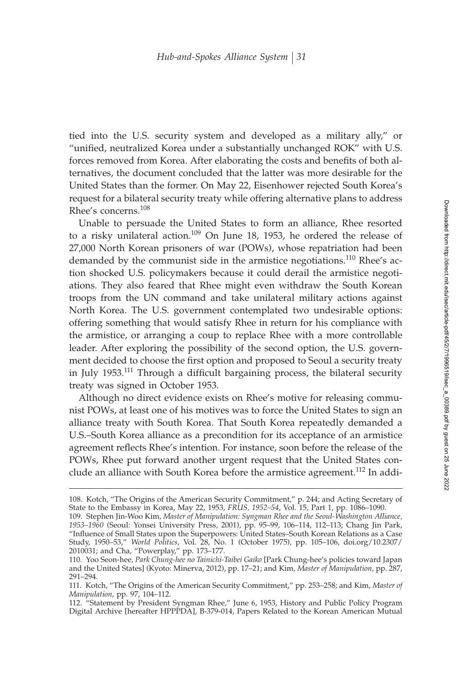tied into the U.S. security system and developed as a military ally," or "unified, neutralized Korea under a substantially unchanged ROK" with U.S. forces removed from Korea. After elaborating the costs and benefits of both alternatives, the document concluded that the latter was more desirable for the United States than the former. On May 22, Eisenhower rejected South Korea's request for a bilateral security treaty while offering alternative plans to address Rhee's concerns.<sup>108</sup>

Unable to persuade the United States to form an alliance, Rhee resorted to a risky unilateral action.<sup>109</sup> On June 18, 1953, he ordered the release of 27,000 North Korean prisoners of war (POWs), whose repatriation had been demanded by the communist side in the armistice negotiations.<sup>110</sup> Rhee's action shocked U.S. policymakers because it could derail the armistice negotiations. They also feared that Rhee might even withdraw the South Korean troops from the UN command and take unilateral military actions against North Korea. The U.S. government contemplated two undesirable options: offering something that would satisfy Rhee in return for his compliance with the armistice, or arranging a coup to replace Rhee with a more controllable leader. After exploring the possibility of the second option, the U.S. government decided to choose the first option and proposed to Seoul a security treaty in July 1953.<sup>111</sup> Through a difficult bargaining process, the bilateral security treaty was signed in October 1953.

Although no direct evidence exists on Rhee's motive for releasing communist POWs, at least one of his motives was to force the United States to sign an alliance treaty with South Korea. That South Korea repeatedly demanded a U.S.–South Korea alliance as a precondition for its acceptance of an armistice agreement reflects Rhee's intention. For instance, soon before the release of the POWs, Rhee put forward another urgent request that the United States conclude an alliance with South Korea before the armistice agreement.<sup>112</sup> In addi-

<sup>108.</sup> Kotch, "The Origins of the American Security Commitment," p. 244; and Acting Secretary of State to the Embassy in Korea, May 22, 1953, *FRUS, 1952–54*, Vol. 15, Part 1, pp. 1086–1090.

<sup>109.</sup> Stephen Jin-Woo Kim, *Master of Manipulation: Syngman Rhee and the Seoul-Washington Alliance, 1953–1960* (Seoul: Yonsei University Press, 2001), pp. 95–99, 106–114, 112–113; Chang Jin Park, "Influence of Small States upon the Superpowers: United States-South Korean Relations as a Case Study, 1950–53," *World Politics*, Vol. 28, No. 1 (October 1975), pp. 105–106, doi.org/10.2307/ 2010031; and Cha, "Powerplay," pp. 173–177.

<sup>110.</sup> Yoo Seon-hee, *Park Chung-hee no Tainichi-Taibei Gaiko* [Park Chung-hee's policies toward Japan and the United States] (Kyoto: Minerva, 2012), pp. 17–21; and Kim, *Master of Manipulation*, pp. 287, 291–294.

<sup>111.</sup> Kotch, "The Origins of the American Security Commitment," pp. 253–258; and Kim, *Master of Manipulation*, pp. 97, 104–112.

<sup>112. &</sup>quot;Statement by President Syngman Rhee," June 6, 1953, History and Public Policy Program Digital Archive [hereafter HPPPDA], B-379-014, Papers Related to the Korean American Mutual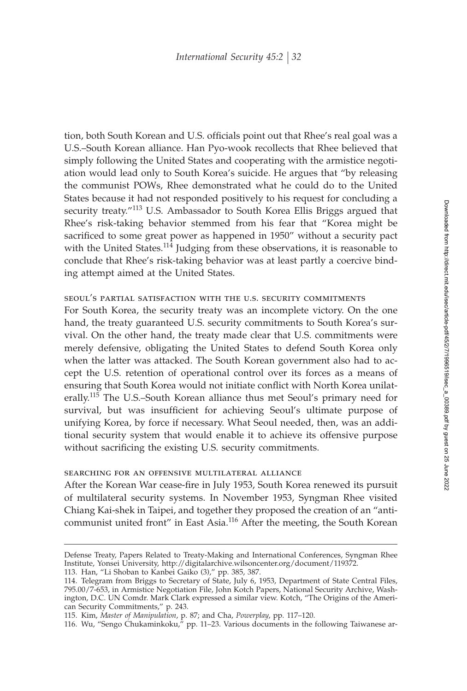tion, both South Korean and U.S. officials point out that Rhee's real goal was a U.S.–South Korean alliance. Han Pyo-wook recollects that Rhee believed that simply following the United States and cooperating with the armistice negotiation would lead only to South Korea's suicide. He argues that "by releasing the communist POWs, Rhee demonstrated what he could do to the United States because it had not responded positively to his request for concluding a security treaty."<sup>113</sup> U.S. Ambassador to South Korea Ellis Briggs argued that Rhee's risk-taking behavior stemmed from his fear that "Korea might be sacrificed to some great power as happened in 1950" without a security pact with the United States.<sup>114</sup> Judging from these observations, it is reasonable to conclude that Rhee's risk-taking behavior was at least partly a coercive binding attempt aimed at the United States.

## seoul's partial satisfaction with the u.s. security commitments

For South Korea, the security treaty was an incomplete victory. On the one hand, the treaty guaranteed U.S. security commitments to South Korea's survival. On the other hand, the treaty made clear that U.S. commitments were merely defensive, obligating the United States to defend South Korea only when the latter was attacked. The South Korean government also had to accept the U.S. retention of operational control over its forces as a means of ensuring that South Korea would not initiate conflict with North Korea unilaterally.<sup>115</sup> The U.S.–South Korean alliance thus met Seoul's primary need for survival, but was insufficient for achieving Seoul's ultimate purpose of unifying Korea, by force if necessary. What Seoul needed, then, was an additional security system that would enable it to achieve its offensive purpose without sacrificing the existing U.S. security commitments.

#### searching for an offensive multilateral alliance

After the Korean War cease-fire in July 1953, South Korea renewed its pursuit of multilateral security systems. In November 1953, Syngman Rhee visited Chiang Kai-shek in Taipei, and together they proposed the creation of an "anticommunist united front" in East Asia.<sup>116</sup> After the meeting, the South Korean

113. Han, "Li Shoban to Kanbei Gaiko (3)," pp. 385, 387.

Defense Treaty, Papers Related to Treaty-Making and International Conferences, Syngman Rhee Institute, Yonsei University, http://digitalarchive.wilsoncenter.org/document/119372.

<sup>114.</sup> Telegram from Briggs to Secretary of State, July 6, 1953, Department of State Central Files, 795.00/7-653, in Armistice Negotiation File, John Kotch Papers, National Security Archive, Washington, D.C. UN Comdr. Mark Clark expressed a similar view. Kotch, "The Origins of the American Security Commitments," p. 243.

<sup>115.</sup> Kim, *Master of Manipulation*, p. 87; and Cha, *Powerplay*, pp. 117–120.

<sup>116.</sup> Wu, "Sengo Chukaminkoku," pp. 11–23. Various documents in the following Taiwanese ar-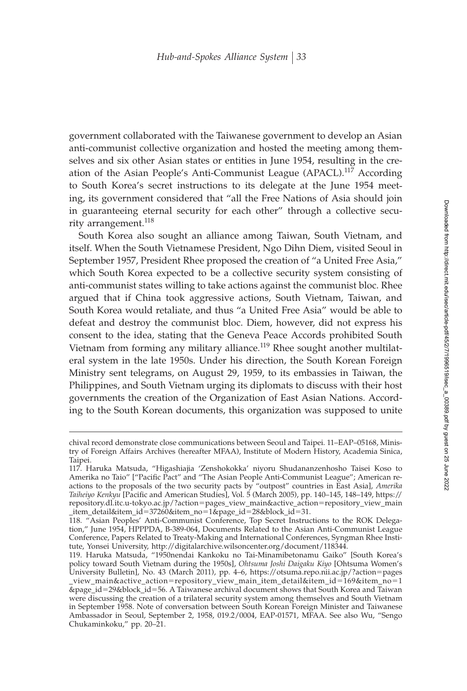government collaborated with the Taiwanese government to develop an Asian anti-communist collective organization and hosted the meeting among themselves and six other Asian states or entities in June 1954, resulting in the creation of the Asian People's Anti-Communist League (APACL).<sup>117</sup> According to South Korea's secret instructions to its delegate at the June 1954 meeting, its government considered that "all the Free Nations of Asia should join in guaranteeing eternal security for each other" through a collective security arrangement.<sup>118</sup>

South Korea also sought an alliance among Taiwan, South Vietnam, and itself. When the South Vietnamese President, Ngo Dihn Diem, visited Seoul in September 1957, President Rhee proposed the creation of "a United Free Asia," which South Korea expected to be a collective security system consisting of anti-communist states willing to take actions against the communist bloc. Rhee argued that if China took aggressive actions, South Vietnam, Taiwan, and South Korea would retaliate, and thus "a United Free Asia" would be able to defeat and destroy the communist bloc. Diem, however, did not express his consent to the idea, stating that the Geneva Peace Accords prohibited South Vietnam from forming any military alliance.<sup>119</sup> Rhee sought another multilateral system in the late 1950s. Under his direction, the South Korean Foreign Ministry sent telegrams, on August 29, 1959, to its embassies in Taiwan, the Philippines, and South Vietnam urging its diplomats to discuss with their host governments the creation of the Organization of East Asian Nations. According to the South Korean documents, this organization was supposed to unite

chival record demonstrate close communications between Seoul and Taipei. 11–EAP–05168, Ministry of Foreign Affairs Archives (hereafter MFAA), Institute of Modern History, Academia Sinica, Taipei.

<sup>117.</sup> Haruka Matsuda, "Higashiajia 'Zenshokokka' niyoru Shudananzenhosho Taisei Koso to Amerika no Taio" ["Pacific Pact" and "The Asian People Anti-Communist League"; American reactions to the proposals of the two security pacts by "outpost" countries in East Asia], *Amerika* Taiheiyo Kenkyu [Pacific and American Studies], Vol. 5 (March 2005), pp. 140-145, 148-149, https:// repository.dl.itc.u-tokyo.ac.jp/?action-pages\_view\_main&active\_action-repository\_view\_main \_item\_detail&item\_id-37260&item\_no-1&page\_id-28&block\_id-31.

<sup>118. &</sup>quot;Asian Peoples' Anti-Communist Conference, Top Secret Instructions to the ROK Delegation," June 1954, HPPPDA, B-389-064, Documents Related to the Asian Anti-Communist League Conference, Papers Related to Treaty-Making and International Conferences, Syngman Rhee Institute, Yonsei University, http://digitalarchive.wilsoncenter.org/document/118344.

<sup>119.</sup> Haruka Matsuda, "1950nendai Kankoku no Tai-Minamibetonamu Gaiko" [South Korea's policy toward South Vietnam during the 1950s], *Ohtsuma Joshi Daigaku Kiyo* [Ohtsuma Women's University Bulletin], No. 43 (March 2011), pp. 4–6, https://otsuma.repo.nii.ac.jp/?action-pages \_view\_main&active\_action-repository\_view\_main\_item\_detail&item\_id-169&item\_no-1 &page\_id-29&block\_id-56. A Taiwanese archival document shows that South Korea and Taiwan were discussing the creation of a trilateral security system among themselves and South Vietnam in September 1958. Note of conversation between South Korean Foreign Minister and Taiwanese Ambassador in Seoul, September 2, 1958, 019.2/0004, EAP-01571, MFAA. See also Wu, "Sengo Chukaminkoku," pp. 20–21.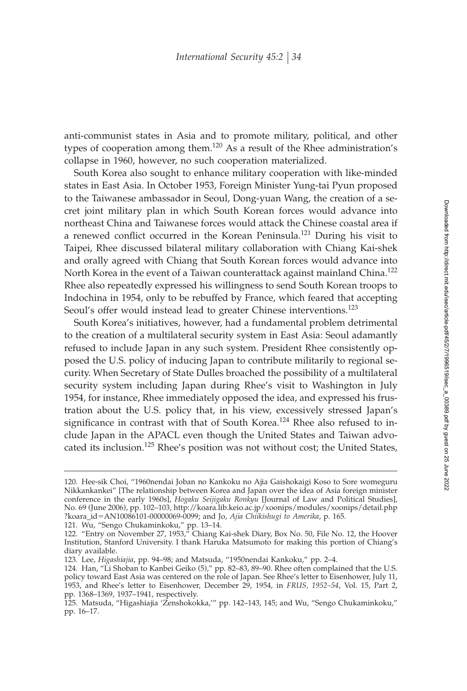anti-communist states in Asia and to promote military, political, and other types of cooperation among them.<sup>120</sup> As a result of the Rhee administration's collapse in 1960, however, no such cooperation materialized.

South Korea also sought to enhance military cooperation with like-minded states in East Asia. In October 1953, Foreign Minister Yung-tai Pyun proposed to the Taiwanese ambassador in Seoul, Dong-yuan Wang, the creation of a secret joint military plan in which South Korean forces would advance into northeast China and Taiwanese forces would attack the Chinese coastal area if a renewed conflict occurred in the Korean Peninsula.<sup>121</sup> During his visit to Taipei, Rhee discussed bilateral military collaboration with Chiang Kai-shek and orally agreed with Chiang that South Korean forces would advance into North Korea in the event of a Taiwan counterattack against mainland China.<sup>122</sup> Rhee also repeatedly expressed his willingness to send South Korean troops to Indochina in 1954, only to be rebuffed by France, which feared that accepting Seoul's offer would instead lead to greater Chinese interventions.<sup>123</sup>

South Korea's initiatives, however, had a fundamental problem detrimental to the creation of a multilateral security system in East Asia: Seoul adamantly refused to include Japan in any such system. President Rhee consistently opposed the U.S. policy of inducing Japan to contribute militarily to regional security. When Secretary of State Dulles broached the possibility of a multilateral security system including Japan during Rhee's visit to Washington in July 1954, for instance, Rhee immediately opposed the idea, and expressed his frustration about the U.S. policy that, in his view, excessively stressed Japan's significance in contrast with that of South Korea.<sup>124</sup> Rhee also refused to include Japan in the APACL even though the United States and Taiwan advocated its inclusion.<sup>125</sup> Rhee's position was not without cost; the United States,

121. Wu, "Sengo Chukaminkoku," pp. 13–14.

<sup>120.</sup> Hee-sik Choi, "1960nendai Joban no Kankoku no Ajia Gaishokaigi Koso to Sore womeguru Nikkankankei" [The relationship between Korea and Japan over the idea of Asia foreign minister conference in the early 1960s], *Hogaku Seijigaku Ronkyu* [Journal of Law and Political Studies], No. 69 (June 2006), pp. 102–103, http://koara.lib.keio.ac.jp/xoonips/modules/xoonips/detail.php ?koara\_id-AN10086101-00000069-0099; and Jo, *Ajia Chiikishugi to Amerika*, p. 165.

<sup>122. &</sup>quot;Entry on November 27, 1953," Chiang Kai-shek Diary, Box No. 50, File No. 12, the Hoover Institution, Stanford University. I thank Haruka Matsumoto for making this portion of Chiang's diary available.

<sup>123.</sup> Lee, *Higashiajia*, pp. 94–98; and Matsuda, "1950nendai Kankoku," pp. 2–4.

<sup>124.</sup> Han, "Li Shoban to Kanbei Geiko (5)," pp. 82–83, 89–90. Rhee often complained that the U.S. policy toward East Asia was centered on the role of Japan. See Rhee's letter to Eisenhower, July 11, 1953, and Rhee's letter to Eisenhower, December 29, 1954, in *FRUS, 1952–54*, Vol. 15, Part 2, pp. 1368–1369, 1937–1941, respectively.

<sup>125.</sup> Matsuda, "Higashiajia 'Zenshokokka,'" pp. 142–143, 145; and Wu, "Sengo Chukaminkoku," pp. 16–17.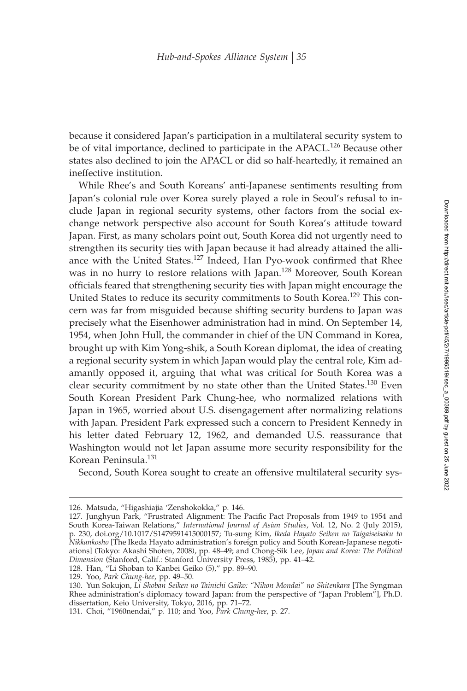because it considered Japan's participation in a multilateral security system to be of vital importance, declined to participate in the APACL.<sup>126</sup> Because other states also declined to join the APACL or did so half-heartedly, it remained an ineffective institution.

While Rhee's and South Koreans' anti-Japanese sentiments resulting from Japan's colonial rule over Korea surely played a role in Seoul's refusal to include Japan in regional security systems, other factors from the social exchange network perspective also account for South Korea's attitude toward Japan. First, as many scholars point out, South Korea did not urgently need to strengthen its security ties with Japan because it had already attained the alliance with the United States.<sup>127</sup> Indeed, Han Pyo-wook confirmed that Rhee was in no hurry to restore relations with Japan.<sup>128</sup> Moreover, South Korean officials feared that strengthening security ties with Japan might encourage the United States to reduce its security commitments to South Korea.<sup>129</sup> This concern was far from misguided because shifting security burdens to Japan was precisely what the Eisenhower administration had in mind. On September 14, 1954, when John Hull, the commander in chief of the UN Command in Korea, brought up with Kim Yong-shik, a South Korean diplomat, the idea of creating a regional security system in which Japan would play the central role, Kim adamantly opposed it, arguing that what was critical for South Korea was a clear security commitment by no state other than the United States.<sup>130</sup> Even South Korean President Park Chung-hee, who normalized relations with Japan in 1965, worried about U.S. disengagement after normalizing relations with Japan. President Park expressed such a concern to President Kennedy in his letter dated February 12, 1962, and demanded U.S. reassurance that Washington would not let Japan assume more security responsibility for the Korean Peninsula.<sup>131</sup>

Second, South Korea sought to create an offensive multilateral security sys-

<sup>126.</sup> Matsuda, "Higashiajia 'Zenshokokka," p. 146.

<sup>127.</sup> Junghyun Park, "Frustrated Alignment: The Pacific Pact Proposals from 1949 to 1954 and South Korea-Taiwan Relations," *International Journal of Asian Studies*, Vol. 12, No. 2 (July 2015), p. 230, doi.org/10.1017/S1479591415000157; Tu-sung Kim, *Ikeda Hayato Seiken no Taigaiseisaku to Nikkankosho* [The Ikeda Hayato administration's foreign policy and South Korean-Japanese negotiations] (Tokyo: Akashi Shoten, 2008), pp. 48–49; and Chong-Sik Lee, *Japan and Korea: The Political Dimension* (Stanford, Calif.: Stanford University Press, 1985), pp. 41–42.

<sup>128.</sup> Han, "Li Shoban to Kanbei Geiko (5)," pp. 89–90.

<sup>129.</sup> Yoo, *Park Chung-hee*, pp. 49–50.

<sup>130.</sup> Yun Sokujon, *Li Shoban Seiken no Tainichi Gaiko: "Nihon Mondai" no Shitenkara* [The Syngman Rhee administration's diplomacy toward Japan: from the perspective of "Japan Problem"], Ph.D. dissertation, Keio University, Tokyo, 2016, pp. 71–72.

<sup>131.</sup> Choi, "1960nendai," p. 110; and Yoo, *Park Chung-hee*, p. 27.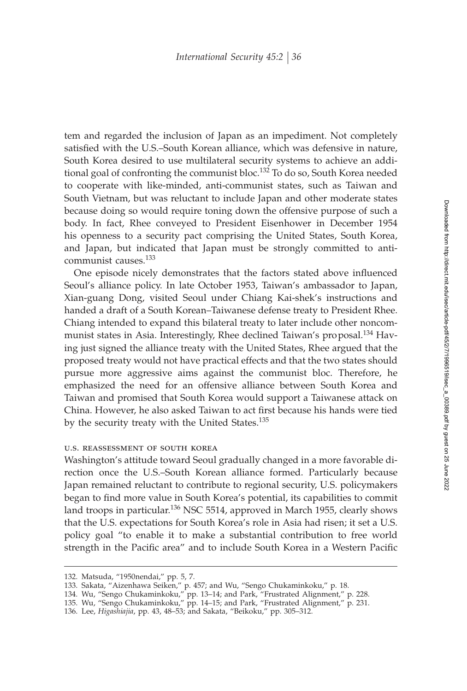tem and regarded the inclusion of Japan as an impediment. Not completely satisfied with the U.S.–South Korean alliance, which was defensive in nature, South Korea desired to use multilateral security systems to achieve an additional goal of confronting the communist bloc.<sup>132</sup> To do so, South Korea needed to cooperate with like-minded, anti-communist states, such as Taiwan and South Vietnam, but was reluctant to include Japan and other moderate states because doing so would require toning down the offensive purpose of such a body. In fact, Rhee conveyed to President Eisenhower in December 1954 his openness to a security pact comprising the United States, South Korea, and Japan, but indicated that Japan must be strongly committed to anticommunist causes.<sup>133</sup>

One episode nicely demonstrates that the factors stated above influenced Seoul's alliance policy. In late October 1953, Taiwan's ambassador to Japan, Xian-guang Dong, visited Seoul under Chiang Kai-shek's instructions and handed a draft of a South Korean–Taiwanese defense treaty to President Rhee. Chiang intended to expand this bilateral treaty to later include other noncommunist states in Asia. Interestingly, Rhee declined Taiwan's proposal.<sup>134</sup> Having just signed the alliance treaty with the United States, Rhee argued that the proposed treaty would not have practical effects and that the two states should pursue more aggressive aims against the communist bloc. Therefore, he emphasized the need for an offensive alliance between South Korea and Taiwan and promised that South Korea would support a Taiwanese attack on China. However, he also asked Taiwan to act first because his hands were tied by the security treaty with the United States.<sup>135</sup>

### u.s. reassessment of south korea

Washington's attitude toward Seoul gradually changed in a more favorable direction once the U.S.–South Korean alliance formed. Particularly because Japan remained reluctant to contribute to regional security, U.S. policymakers began to find more value in South Korea's potential, its capabilities to commit land troops in particular.<sup>136</sup> NSC 5514, approved in March 1955, clearly shows that the U.S. expectations for South Korea's role in Asia had risen; it set a U.S. policy goal "to enable it to make a substantial contribution to free world strength in the Pacific area" and to include South Korea in a Western Pacific

<sup>132.</sup> Matsuda, "1950nendai," pp. 5, 7.

<sup>133.</sup> Sakata, "Aizenhawa Seiken," p. 457; and Wu, "Sengo Chukaminkoku," p. 18.

<sup>134.</sup> Wu, "Sengo Chukaminkoku," pp. 13–14; and Park, "Frustrated Alignment," p. 228.

<sup>135.</sup> Wu, "Sengo Chukaminkoku," pp. 14–15; and Park, "Frustrated Alignment," p. 231.

<sup>136.</sup> Lee, *Higashiajia*, pp. 43, 48–53; and Sakata, "Beikoku," pp. 305–312.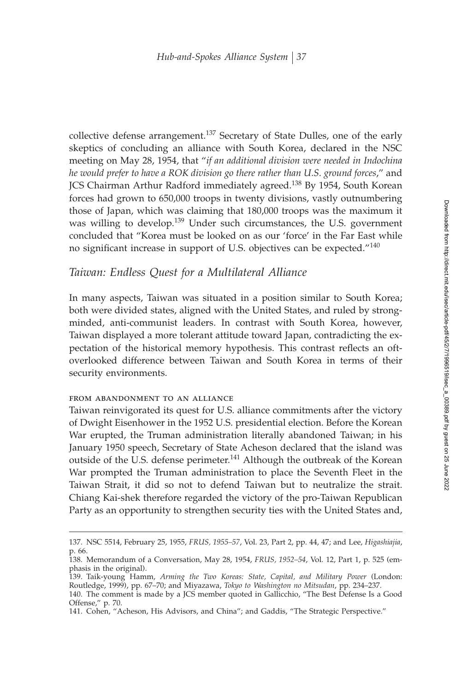collective defense arrangement.<sup>137</sup> Secretary of State Dulles, one of the early skeptics of concluding an alliance with South Korea, declared in the NSC meeting on May 28, 1954, that "*if an additional division were needed in Indochina he would prefer to have a ROK division go there rather than U.S. ground forces*," and JCS Chairman Arthur Radford immediately agreed.<sup>138</sup> By 1954, South Korean forces had grown to 650,000 troops in twenty divisions, vastly outnumbering those of Japan, which was claiming that 180,000 troops was the maximum it was willing to develop.<sup>139</sup> Under such circumstances, the U.S. government concluded that "Korea must be looked on as our 'force' in the Far East while no significant increase in support of U.S. objectives can be expected." $140$ 

## *Taiwan: Endless Quest for a Multilateral Alliance*

In many aspects, Taiwan was situated in a position similar to South Korea; both were divided states, aligned with the United States, and ruled by strongminded, anti-communist leaders. In contrast with South Korea, however, Taiwan displayed a more tolerant attitude toward Japan, contradicting the expectation of the historical memory hypothesis. This contrast reflects an oftoverlooked difference between Taiwan and South Korea in terms of their security environments.

#### from abandonment to an alliance

Taiwan reinvigorated its quest for U.S. alliance commitments after the victory of Dwight Eisenhower in the 1952 U.S. presidential election. Before the Korean War erupted, the Truman administration literally abandoned Taiwan; in his January 1950 speech, Secretary of State Acheson declared that the island was outside of the U.S. defense perimeter.<sup>141</sup> Although the outbreak of the Korean War prompted the Truman administration to place the Seventh Fleet in the Taiwan Strait, it did so not to defend Taiwan but to neutralize the strait. Chiang Kai-shek therefore regarded the victory of the pro-Taiwan Republican Party as an opportunity to strengthen security ties with the United States and,

<sup>137.</sup> NSC 5514, February 25, 1955, *FRUS, 1955–57*, Vol. 23, Part 2, pp. 44, 47; and Lee, *Higashiajia*, p. 66.

<sup>138.</sup> Memorandum of a Conversation, May 28, 1954, *FRUS, 1952–54*, Vol. 12, Part 1, p. 525 (emphasis in the original).

<sup>139.</sup> Taik-young Hamm, *Arming the Two Koreas: State, Capital, and Military Power* (London: Routledge, 1999), pp. 67–70; and Miyazawa, *Tokyo to Washington no Mitsudan*, pp. 234–237.

<sup>140.</sup> The comment is made by a JCS member quoted in Gallicchio, "The Best Defense Is a Good Offense," p. 70.

<sup>141.</sup> Cohen, "Acheson, His Advisors, and China"; and Gaddis, "The Strategic Perspective."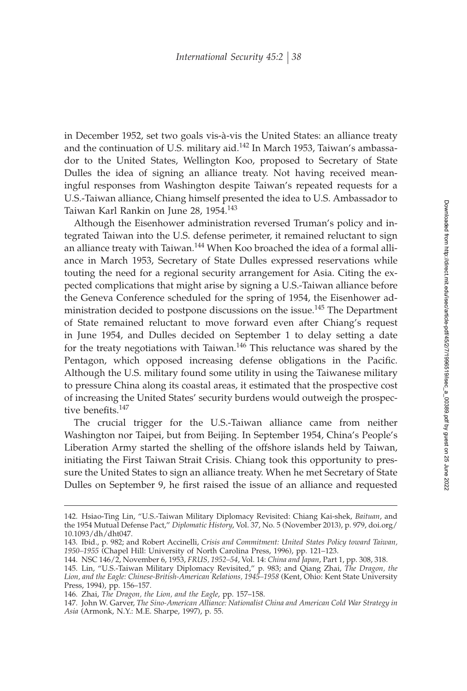in December 1952, set two goals vis-à-vis the United States: an alliance treaty and the continuation of U.S. military aid. $142$  In March 1953, Taiwan's ambassador to the United States, Wellington Koo, proposed to Secretary of State Dulles the idea of signing an alliance treaty. Not having received meaningful responses from Washington despite Taiwan's repeated requests for a U.S.-Taiwan alliance, Chiang himself presented the idea to U.S. Ambassador to Taiwan Karl Rankin on June 28, 1954.<sup>143</sup>

Although the Eisenhower administration reversed Truman's policy and integrated Taiwan into the U.S. defense perimeter, it remained reluctant to sign an alliance treaty with Taiwan.<sup>144</sup> When Koo broached the idea of a formal alliance in March 1953, Secretary of State Dulles expressed reservations while touting the need for a regional security arrangement for Asia. Citing the expected complications that might arise by signing a U.S.-Taiwan alliance before the Geneva Conference scheduled for the spring of 1954, the Eisenhower administration decided to postpone discussions on the issue.<sup>145</sup> The Department of State remained reluctant to move forward even after Chiang's request in June 1954, and Dulles decided on September 1 to delay setting a date for the treaty negotiations with Taiwan.<sup>146</sup> This reluctance was shared by the Pentagon, which opposed increasing defense obligations in the Pacific. Although the U.S. military found some utility in using the Taiwanese military to pressure China along its coastal areas, it estimated that the prospective cost of increasing the United States' security burdens would outweigh the prospective benefits. $147$ 

The crucial trigger for the U.S.-Taiwan alliance came from neither Washington nor Taipei, but from Beijing. In September 1954, China's People's Liberation Army started the shelling of the offshore islands held by Taiwan, initiating the First Taiwan Strait Crisis. Chiang took this opportunity to pressure the United States to sign an alliance treaty. When he met Secretary of State Dulles on September 9, he first raised the issue of an alliance and requested

<sup>142.</sup> Hsiao-Ting Lin, "U.S.-Taiwan Military Diplomacy Revisited: Chiang Kai-shek, *Baituan*, and the 1954 Mutual Defense Pact," *Diplomatic History*, Vol. 37, No. 5 (November 2013), p. 979, doi.org/ 10.1093/dh/dht047.

<sup>143.</sup> Ibid., p. 982; and Robert Accinelli, *Crisis and Commitment: United States Policy toward Taiwan, 1950–1955* (Chapel Hill: University of North Carolina Press, 1996), pp. 121–123.

<sup>144.</sup> NSC 146/2, November 6, 1953, *FRUS, 1952–54*, Vol. 14: *China and Japan*, Part 1, pp. 308, 318.

<sup>145.</sup> Lin, "U.S.-Taiwan Military Diplomacy Revisited," p. 983; and Qiang Zhai, *The Dragon, the Lion, and the Eagle: Chinese-British-American Relations, 1945–1958* (Kent, Ohio: Kent State University Press, 1994), pp. 156–157.

<sup>146.</sup> Zhai, *The Dragon, the Lion, and the Eagle*, pp. 157–158.

<sup>147.</sup> John W. Garver, *The Sino-American Alliance: Nationalist China and American Cold War Strategy in Asia* (Armonk, N.Y.: M.E. Sharpe, 1997), p. 55.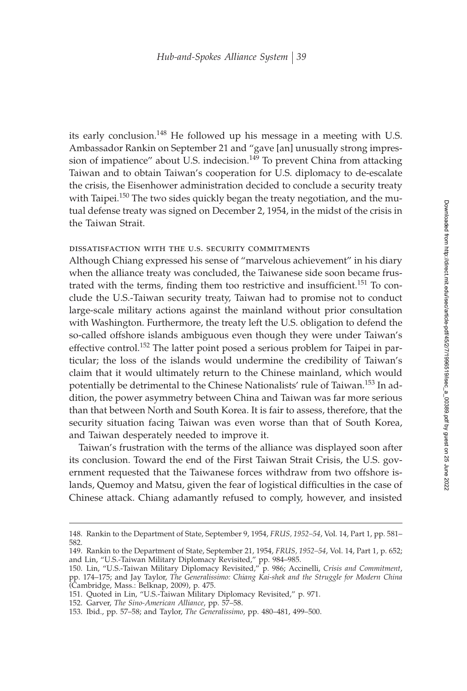its early conclusion.<sup>148</sup> He followed up his message in a meeting with U.S. Ambassador Rankin on September 21 and "gave [an] unusually strong impression of impatience" about U.S. indecision.<sup>149</sup> To prevent China from attacking Taiwan and to obtain Taiwan's cooperation for U.S. diplomacy to de-escalate the crisis, the Eisenhower administration decided to conclude a security treaty with Taipei.<sup>150</sup> The two sides quickly began the treaty negotiation, and the mutual defense treaty was signed on December 2, 1954, in the midst of the crisis in the Taiwan Strait.

## dissatisfaction with the u.s. security commitments

Although Chiang expressed his sense of "marvelous achievement" in his diary when the alliance treaty was concluded, the Taiwanese side soon became frustrated with the terms, finding them too restrictive and insufficient.<sup>151</sup> To conclude the U.S.-Taiwan security treaty, Taiwan had to promise not to conduct large-scale military actions against the mainland without prior consultation with Washington. Furthermore, the treaty left the U.S. obligation to defend the so-called offshore islands ambiguous even though they were under Taiwan's effective control.<sup>152</sup> The latter point posed a serious problem for Taipei in particular; the loss of the islands would undermine the credibility of Taiwan's claim that it would ultimately return to the Chinese mainland, which would potentially be detrimental to the Chinese Nationalists' rule of Taiwan.<sup>153</sup> In addition, the power asymmetry between China and Taiwan was far more serious than that between North and South Korea. It is fair to assess, therefore, that the security situation facing Taiwan was even worse than that of South Korea, and Taiwan desperately needed to improve it.

Taiwan's frustration with the terms of the alliance was displayed soon after its conclusion. Toward the end of the First Taiwan Strait Crisis, the U.S. government requested that the Taiwanese forces withdraw from two offshore islands, Quemoy and Matsu, given the fear of logistical difficulties in the case of Chinese attack. Chiang adamantly refused to comply, however, and insisted

<sup>148.</sup> Rankin to the Department of State, September 9, 1954, *FRUS, 1952–54*, Vol. 14, Part 1, pp. 581– 582.

<sup>149.</sup> Rankin to the Department of State, September 21, 1954, *FRUS, 1952–54*, Vol. 14, Part 1, p. 652; and Lin, "U.S.-Taiwan Military Diplomacy Revisited," pp. 984–985.

<sup>150.</sup> Lin, "U.S.-Taiwan Military Diplomacy Revisited," p. 986; Accinelli, *Crisis and Commitment*, pp. 174–175; and Jay Taylor, *The Generalissimo: Chiang Kai-shek and the Struggle for Modern China* (Cambridge, Mass.: Belknap, 2009), p. 475.

<sup>151.</sup> Quoted in Lin, "U.S.-Taiwan Military Diplomacy Revisited," p. 971.

<sup>152.</sup> Garver, *The Sino-American Alliance*, pp. 57–58.

<sup>153.</sup> Ibid., pp. 57–58; and Taylor, *The Generalissimo*, pp. 480–481, 499–500.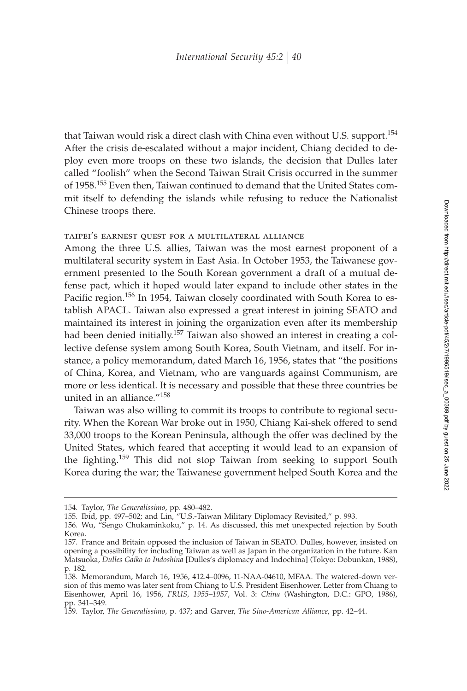that Taiwan would risk a direct clash with China even without U.S. support.<sup>154</sup> After the crisis de-escalated without a major incident, Chiang decided to deploy even more troops on these two islands, the decision that Dulles later called "foolish" when the Second Taiwan Strait Crisis occurred in the summer of 1958.<sup>155</sup> Even then, Taiwan continued to demand that the United States commit itself to defending the islands while refusing to reduce the Nationalist Chinese troops there.

#### taipei's earnest quest for a multilateral alliance

Among the three U.S. allies, Taiwan was the most earnest proponent of a multilateral security system in East Asia. In October 1953, the Taiwanese government presented to the South Korean government a draft of a mutual defense pact, which it hoped would later expand to include other states in the Pacific region.<sup>156</sup> In 1954, Taiwan closely coordinated with South Korea to establish APACL. Taiwan also expressed a great interest in joining SEATO and maintained its interest in joining the organization even after its membership had been denied initially.<sup>157</sup> Taiwan also showed an interest in creating a collective defense system among South Korea, South Vietnam, and itself. For instance, a policy memorandum, dated March 16, 1956, states that "the positions of China, Korea, and Vietnam, who are vanguards against Communism, are more or less identical. It is necessary and possible that these three countries be united in an alliance."<sup>158</sup>

Taiwan was also willing to commit its troops to contribute to regional security. When the Korean War broke out in 1950, Chiang Kai-shek offered to send 33,000 troops to the Korean Peninsula, although the offer was declined by the United States, which feared that accepting it would lead to an expansion of the fighting.<sup>159</sup> This did not stop Taiwan from seeking to support South Korea during the war; the Taiwanese government helped South Korea and the

<sup>154.</sup> Taylor, *The Generalissimo*, pp. 480–482.

<sup>155.</sup> Ibid, pp. 497–502; and Lin, "U.S.-Taiwan Military Diplomacy Revisited," p. 993.

<sup>156.</sup> Wu, "Sengo Chukaminkoku," p. 14. As discussed, this met unexpected rejection by South Korea.

<sup>157.</sup> France and Britain opposed the inclusion of Taiwan in SEATO. Dulles, however, insisted on opening a possibility for including Taiwan as well as Japan in the organization in the future. Kan Matsuoka, *Dulles Gaiko to Indoshina* [Dulles's diplomacy and Indochina] (Tokyo: Dobunkan, 1988), p. 182.

<sup>158.</sup> Memorandum, March 16, 1956, 412.4–0096, 11-NAA-04610, MFAA. The watered-down version of this memo was later sent from Chiang to U.S. President Eisenhower. Letter from Chiang to Eisenhower, April 16, 1956, *FRUS, 1955–1957*, Vol. 3: *China* (Washington, D.C.: GPO, 1986), pp. 341–349.

<sup>159.</sup> Taylor, *The Generalissimo*, p. 437; and Garver, *The Sino-American Alliance*, pp. 42–44.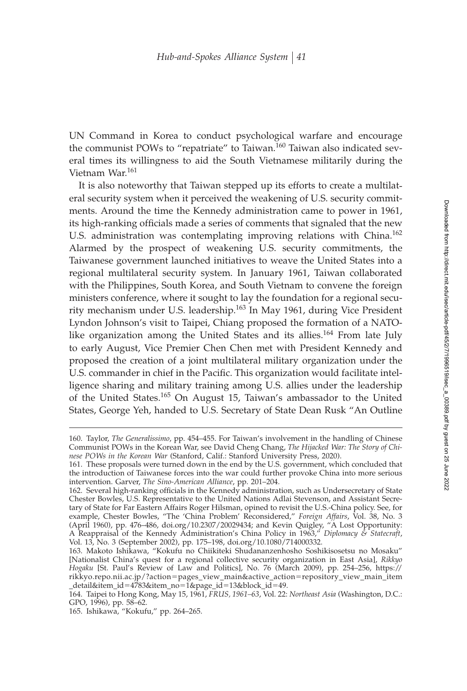UN Command in Korea to conduct psychological warfare and encourage the communist POWs to "repatriate" to Taiwan.<sup>160</sup> Taiwan also indicated several times its willingness to aid the South Vietnamese militarily during the Vietnam War.<sup>161</sup>

It is also noteworthy that Taiwan stepped up its efforts to create a multilateral security system when it perceived the weakening of U.S. security commitments. Around the time the Kennedy administration came to power in 1961, its high-ranking officials made a series of comments that signaled that the new U.S. administration was contemplating improving relations with China.<sup>162</sup> Alarmed by the prospect of weakening U.S. security commitments, the Taiwanese government launched initiatives to weave the United States into a regional multilateral security system. In January 1961, Taiwan collaborated with the Philippines, South Korea, and South Vietnam to convene the foreign ministers conference, where it sought to lay the foundation for a regional security mechanism under U.S. leadership.<sup>163</sup> In May 1961, during Vice President Lyndon Johnson's visit to Taipei, Chiang proposed the formation of a NATOlike organization among the United States and its allies.<sup>164</sup> From late July to early August, Vice Premier Chen Chen met with President Kennedy and proposed the creation of a joint multilateral military organization under the U.S. commander in chief in the Pacific. This organization would facilitate intelligence sharing and military training among U.S. allies under the leadership of the United States.<sup>165</sup> On August 15, Taiwan's ambassador to the United States, George Yeh, handed to U.S. Secretary of State Dean Rusk "An Outline

<sup>160.</sup> Taylor, *The Generalissimo*, pp. 454–455. For Taiwan's involvement in the handling of Chinese Communist POWs in the Korean War, see David Cheng Chang, *The Hijacked War: The Story of Chinese POWs in the Korean War* (Stanford, Calif.: Stanford University Press, 2020).

<sup>161.</sup> These proposals were turned down in the end by the U.S. government, which concluded that the introduction of Taiwanese forces into the war could further provoke China into more serious intervention. Garver, *The Sino-American Alliance*, pp. 201–204.

<sup>162.</sup> Several high-ranking officials in the Kennedy administration, such as Undersecretary of State Chester Bowles, U.S. Representative to the United Nations Adlai Stevenson, and Assistant Secretary of State for Far Eastern Affairs Roger Hilsman, opined to revisit the U.S.-China policy. See, for example, Chester Bowles, "The 'China Problem' Reconsidered," Foreign Affairs, Vol. 38, No. 3 (April 1960), pp. 476–486, doi.org/10.2307/20029434; and Kevin Quigley, "A Lost Opportunity: A Reappraisal of the Kennedy Administration's China Policy in 1963," *Diplomacy & Statecraft*, Vol. 13, No. 3 (September 2002), pp. 175–198, doi.org/10.1080/714000332.

<sup>163.</sup> Makoto Ishikawa, "Kokufu no Chiikiteki Shudananzenhosho Soshikisosetsu no Mosaku" [Nationalist China's quest for a regional collective security organization in East Asia], *Rikkyo Hogaku* [St. Paul's Review of Law and Politics], No. 76 (March 2009), pp. 254–256, https:// rikkyo.repo.nii.ac.jp/?action-pages\_view\_main&active\_action-repository\_view\_main\_item \_detail&item\_id-4783&item\_no-1&page\_id-13&block\_id-49.

<sup>164.</sup> Taipei to Hong Kong, May 15, 1961, *FRUS, 1961–63*, Vol. 22: *Northeast Asia* (Washington, D.C.: GPO, 1996), pp. 58–62.

<sup>165.</sup> Ishikawa, "Kokufu," pp. 264–265.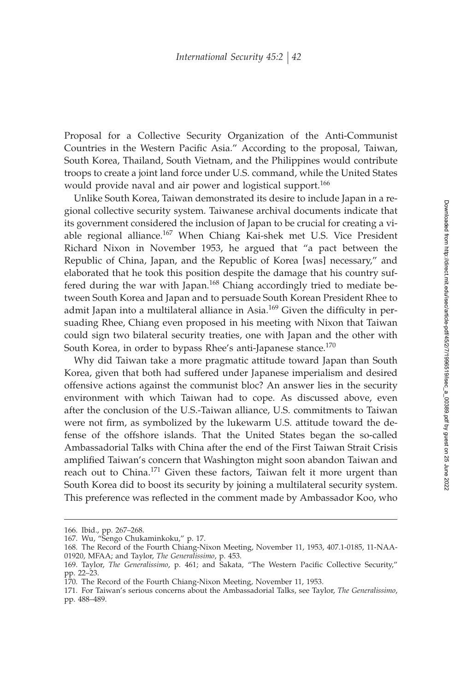Proposal for a Collective Security Organization of the Anti-Communist Countries in the Western Pacific Asia." According to the proposal, Taiwan, South Korea, Thailand, South Vietnam, and the Philippines would contribute troops to create a joint land force under U.S. command, while the United States would provide naval and air power and logistical support.<sup>166</sup>

Unlike South Korea, Taiwan demonstrated its desire to include Japan in a regional collective security system. Taiwanese archival documents indicate that its government considered the inclusion of Japan to be crucial for creating a viable regional alliance.<sup>167</sup> When Chiang Kai-shek met U.S. Vice President Richard Nixon in November 1953, he argued that "a pact between the Republic of China, Japan, and the Republic of Korea [was] necessary," and elaborated that he took this position despite the damage that his country suffered during the war with Japan.<sup>168</sup> Chiang accordingly tried to mediate between South Korea and Japan and to persuade South Korean President Rhee to admit Japan into a multilateral alliance in Asia.<sup>169</sup> Given the difficulty in persuading Rhee, Chiang even proposed in his meeting with Nixon that Taiwan could sign two bilateral security treaties, one with Japan and the other with South Korea, in order to bypass Rhee's anti-Japanese stance.<sup>170</sup>

Why did Taiwan take a more pragmatic attitude toward Japan than South Korea, given that both had suffered under Japanese imperialism and desired offensive actions against the communist bloc? An answer lies in the security environment with which Taiwan had to cope. As discussed above, even after the conclusion of the U.S.-Taiwan alliance, U.S. commitments to Taiwan were not firm, as symbolized by the lukewarm U.S. attitude toward the defense of the offshore islands. That the United States began the so-called Ambassadorial Talks with China after the end of the First Taiwan Strait Crisis amplified Taiwan's concern that Washington might soon abandon Taiwan and reach out to China.<sup>171</sup> Given these factors, Taiwan felt it more urgent than South Korea did to boost its security by joining a multilateral security system. This preference was reflected in the comment made by Ambassador Koo, who

<sup>166.</sup> Ibid., pp. 267–268.

<sup>167.</sup> Wu, "Sengo Chukaminkoku," p. 17.

<sup>168.</sup> The Record of the Fourth Chiang-Nixon Meeting, November 11, 1953, 407.1-0185, 11-NAA-01920, MFAA; and Taylor, *The Generalissimo*, p. 453.

<sup>169.</sup> Taylor, *The Generalissimo*, p. 461; and Sakata, "The Western Pacific Collective Security," pp. 22–23.

<sup>170.</sup> The Record of the Fourth Chiang-Nixon Meeting, November 11, 1953.

<sup>171.</sup> For Taiwan's serious concerns about the Ambassadorial Talks, see Taylor, *The Generalissimo*, pp. 488–489.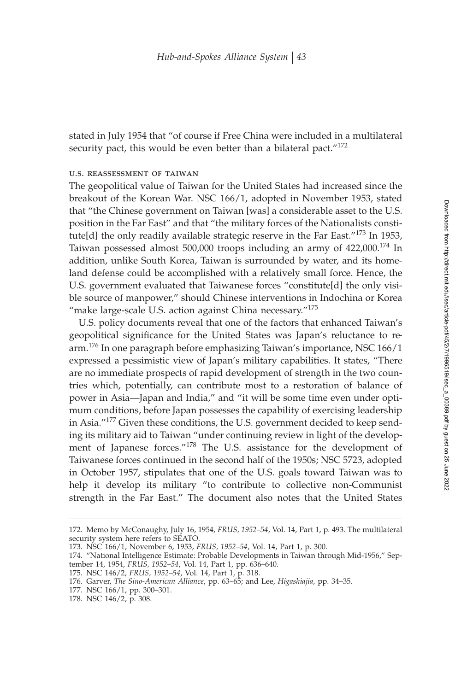stated in July 1954 that "of course if Free China were included in a multilateral security pact, this would be even better than a bilateral pact."<sup>172</sup>

#### u.s. reassessment of taiwan

The geopolitical value of Taiwan for the United States had increased since the breakout of the Korean War. NSC 166/1, adopted in November 1953, stated that "the Chinese government on Taiwan [was] a considerable asset to the U.S. position in the Far East" and that "the military forces of the Nationalists constitute[d] the only readily available strategic reserve in the Far East."<sup>173</sup> In 1953, Taiwan possessed almost 500,000 troops including an army of 422,000.<sup>174</sup> In addition, unlike South Korea, Taiwan is surrounded by water, and its homeland defense could be accomplished with a relatively small force. Hence, the U.S. government evaluated that Taiwanese forces "constitute[d] the only visible source of manpower," should Chinese interventions in Indochina or Korea "make large-scale U.S. action against China necessary."<sup>175</sup>

U.S. policy documents reveal that one of the factors that enhanced Taiwan's geopolitical significance for the United States was Japan's reluctance to rearm.<sup>176</sup> In one paragraph before emphasizing Taiwan's importance, NSC 166/1 expressed a pessimistic view of Japan's military capabilities. It states, "There are no immediate prospects of rapid development of strength in the two countries which, potentially, can contribute most to a restoration of balance of power in Asia—Japan and India," and "it will be some time even under optimum conditions, before Japan possesses the capability of exercising leadership in Asia."<sup>177</sup> Given these conditions, the U.S. government decided to keep sending its military aid to Taiwan "under continuing review in light of the development of Japanese forces."<sup>178</sup> The U.S. assistance for the development of Taiwanese forces continued in the second half of the 1950s; NSC 5723, adopted in October 1957, stipulates that one of the U.S. goals toward Taiwan was to help it develop its military "to contribute to collective non-Communist strength in the Far East." The document also notes that the United States

<sup>172.</sup> Memo by McConaughy, July 16, 1954, *FRUS, 1952–54*, Vol. 14, Part 1, p. 493. The multilateral security system here refers to SEATO.

<sup>173.</sup> NSC 166/1, November 6, 1953, *FRUS, 1952–54*, Vol. 14, Part 1, p. 300.

<sup>174. &</sup>quot;National Intelligence Estimate: Probable Developments in Taiwan through Mid-1956," September 14, 1954, *FRUS, 1952–54*, Vol. 14, Part 1, pp. 636–640.

<sup>175.</sup> NSC 146/2, *FRUS, 1952–54*, Vol. 14, Part 1, p. 318.

<sup>176.</sup> Garver, *The Sino-American Alliance*, pp. 63–65; and Lee, *Higashiajia*, pp. 34–35.

<sup>177.</sup> NSC 166/1, pp. 300–301.

<sup>178.</sup> NSC 146/2, p. 308.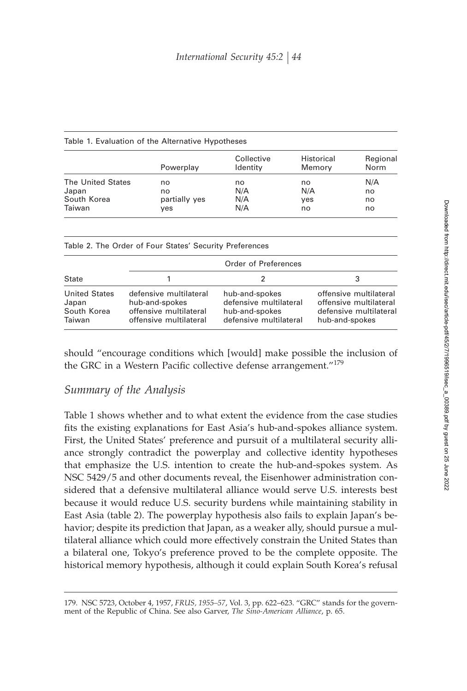| Historical<br>Memory | Regional<br>Norm |
|----------------------|------------------|
| no                   | N/A              |
| N/A                  | no               |
| yes                  | no               |
| no                   | no               |
|                      |                  |

| <b>State</b>                                           | Order of Preferences                                                                         |                                                                                      |                                                                                              |
|--------------------------------------------------------|----------------------------------------------------------------------------------------------|--------------------------------------------------------------------------------------|----------------------------------------------------------------------------------------------|
|                                                        |                                                                                              |                                                                                      |                                                                                              |
| <b>United States</b><br>Japan<br>South Korea<br>Taiwan | defensive multilateral<br>hub-and-spokes<br>offensive multilateral<br>offensive multilateral | hub-and-spokes<br>defensive multilateral<br>hub-and-spokes<br>defensive multilateral | offensive multilateral<br>offensive multilateral<br>defensive multilateral<br>hub-and-spokes |

should "encourage conditions which [would] make possible the inclusion of the GRC in a Western Pacific collective defense arrangement." $179$ 

## *Summary of the Analysis*

Table 1 shows whether and to what extent the evidence from the case studies fits the existing explanations for East Asia's hub-and-spokes alliance system. First, the United States' preference and pursuit of a multilateral security alliance strongly contradict the powerplay and collective identity hypotheses that emphasize the U.S. intention to create the hub-and-spokes system. As NSC 5429/5 and other documents reveal, the Eisenhower administration considered that a defensive multilateral alliance would serve U.S. interests best because it would reduce U.S. security burdens while maintaining stability in East Asia (table 2). The powerplay hypothesis also fails to explain Japan's behavior; despite its prediction that Japan, as a weaker ally, should pursue a multilateral alliance which could more effectively constrain the United States than a bilateral one, Tokyo's preference proved to be the complete opposite. The historical memory hypothesis, although it could explain South Korea's refusal

<sup>179.</sup> NSC 5723, October 4, 1957, *FRUS, 1955–57*, Vol. 3, pp. 622–623. "GRC" stands for the government of the Republic of China. See also Garver, *The Sino-American Alliance*, p. 65.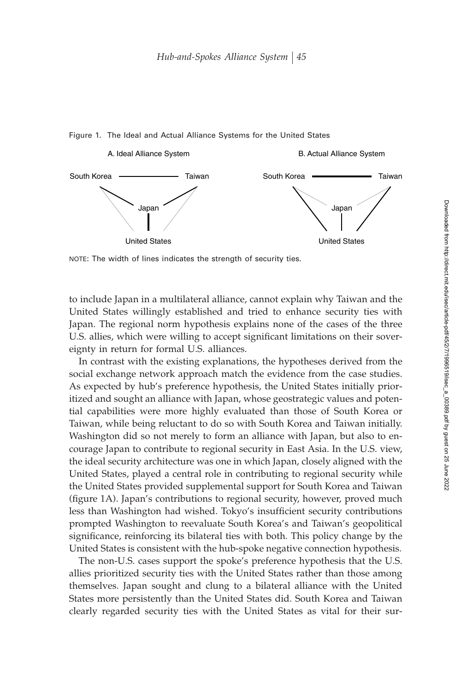

#### Figure 1. The Ideal and Actual Alliance Systems for the United States

NOTE: The width of lines indicates the strength of security ties.

to include Japan in a multilateral alliance, cannot explain why Taiwan and the United States willingly established and tried to enhance security ties with Japan. The regional norm hypothesis explains none of the cases of the three U.S. allies, which were willing to accept significant limitations on their sovereignty in return for formal U.S. alliances.

In contrast with the existing explanations, the hypotheses derived from the social exchange network approach match the evidence from the case studies. As expected by hub's preference hypothesis, the United States initially prioritized and sought an alliance with Japan, whose geostrategic values and potential capabilities were more highly evaluated than those of South Korea or Taiwan, while being reluctant to do so with South Korea and Taiwan initially. Washington did so not merely to form an alliance with Japan, but also to encourage Japan to contribute to regional security in East Asia. In the U.S. view, the ideal security architecture was one in which Japan, closely aligned with the United States, played a central role in contributing to regional security while the United States provided supplemental support for South Korea and Taiwan (figure 1A). Japan's contributions to regional security, however, proved much less than Washington had wished. Tokyo's insufficient security contributions prompted Washington to reevaluate South Korea's and Taiwan's geopolitical significance, reinforcing its bilateral ties with both. This policy change by the United States is consistent with the hub-spoke negative connection hypothesis.

The non-U.S. cases support the spoke's preference hypothesis that the U.S. allies prioritized security ties with the United States rather than those among themselves. Japan sought and clung to a bilateral alliance with the United States more persistently than the United States did. South Korea and Taiwan clearly regarded security ties with the United States as vital for their sur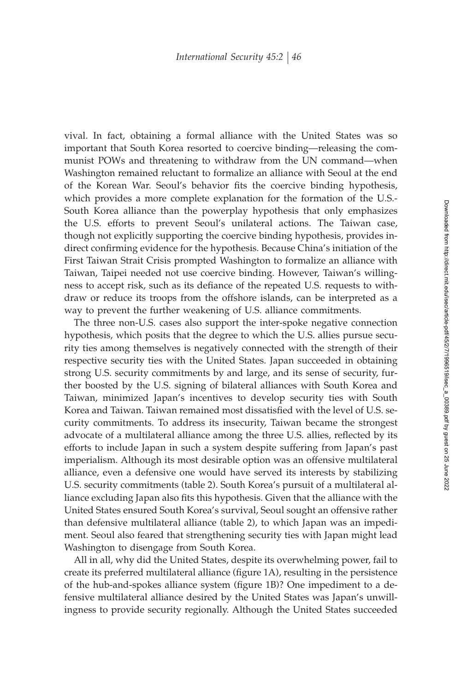vival. In fact, obtaining a formal alliance with the United States was so important that South Korea resorted to coercive binding—releasing the communist POWs and threatening to withdraw from the UN command—when Washington remained reluctant to formalize an alliance with Seoul at the end of the Korean War. Seoul's behavior fits the coercive binding hypothesis, which provides a more complete explanation for the formation of the U.S.- South Korea alliance than the powerplay hypothesis that only emphasizes the U.S. efforts to prevent Seoul's unilateral actions. The Taiwan case, though not explicitly supporting the coercive binding hypothesis, provides indirect confirming evidence for the hypothesis. Because China's initiation of the First Taiwan Strait Crisis prompted Washington to formalize an alliance with Taiwan, Taipei needed not use coercive binding. However, Taiwan's willingness to accept risk, such as its defiance of the repeated U.S. requests to withdraw or reduce its troops from the offshore islands, can be interpreted as a way to prevent the further weakening of U.S. alliance commitments.

The three non-U.S. cases also support the inter-spoke negative connection hypothesis, which posits that the degree to which the U.S. allies pursue security ties among themselves is negatively connected with the strength of their respective security ties with the United States. Japan succeeded in obtaining strong U.S. security commitments by and large, and its sense of security, further boosted by the U.S. signing of bilateral alliances with South Korea and Taiwan, minimized Japan's incentives to develop security ties with South Korea and Taiwan. Taiwan remained most dissatisfied with the level of U.S. security commitments. To address its insecurity, Taiwan became the strongest advocate of a multilateral alliance among the three U.S. allies, reflected by its efforts to include Japan in such a system despite suffering from Japan's past imperialism. Although its most desirable option was an offensive multilateral alliance, even a defensive one would have served its interests by stabilizing U.S. security commitments (table 2). South Korea's pursuit of a multilateral alliance excluding Japan also fits this hypothesis. Given that the alliance with the United States ensured South Korea's survival, Seoul sought an offensive rather than defensive multilateral alliance (table 2), to which Japan was an impediment. Seoul also feared that strengthening security ties with Japan might lead Washington to disengage from South Korea.

All in all, why did the United States, despite its overwhelming power, fail to create its preferred multilateral alliance (figure 1A), resulting in the persistence of the hub-and-spokes alliance system (figure 1B)? One impediment to a defensive multilateral alliance desired by the United States was Japan's unwillingness to provide security regionally. Although the United States succeeded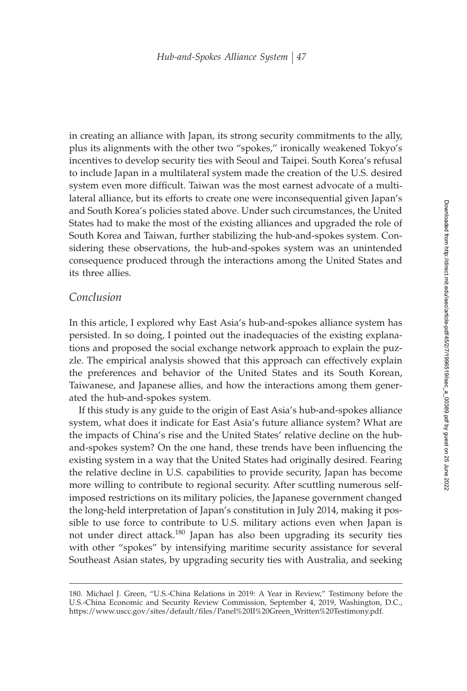in creating an alliance with Japan, its strong security commitments to the ally, plus its alignments with the other two "spokes," ironically weakened Tokyo's incentives to develop security ties with Seoul and Taipei. South Korea's refusal to include Japan in a multilateral system made the creation of the U.S. desired system even more difficult. Taiwan was the most earnest advocate of a multilateral alliance, but its efforts to create one were inconsequential given Japan's and South Korea's policies stated above. Under such circumstances, the United States had to make the most of the existing alliances and upgraded the role of South Korea and Taiwan, further stabilizing the hub-and-spokes system. Considering these observations, the hub-and-spokes system was an unintended consequence produced through the interactions among the United States and its three allies.

## *Conclusion*

In this article, I explored why East Asia's hub-and-spokes alliance system has persisted. In so doing, I pointed out the inadequacies of the existing explanations and proposed the social exchange network approach to explain the puzzle. The empirical analysis showed that this approach can effectively explain the preferences and behavior of the United States and its South Korean, Taiwanese, and Japanese allies, and how the interactions among them generated the hub-and-spokes system.

If this study is any guide to the origin of East Asia's hub-and-spokes alliance system, what does it indicate for East Asia's future alliance system? What are the impacts of China's rise and the United States' relative decline on the huband-spokes system? On the one hand, these trends have been influencing the existing system in a way that the United States had originally desired. Fearing the relative decline in U.S. capabilities to provide security, Japan has become more willing to contribute to regional security. After scuttling numerous selfimposed restrictions on its military policies, the Japanese government changed the long-held interpretation of Japan's constitution in July 2014, making it possible to use force to contribute to U.S. military actions even when Japan is not under direct attack.<sup>180</sup> Japan has also been upgrading its security ties with other "spokes" by intensifying maritime security assistance for several Southeast Asian states, by upgrading security ties with Australia, and seeking

<sup>180.</sup> Michael J. Green, "U.S.-China Relations in 2019: A Year in Review," Testimony before the U.S.-China Economic and Security Review Commission, September 4, 2019, Washington, D.C., https://www.uscc.gov/sites/default/files/Panel%20II%20Green\_Written%20Testimony.pdf.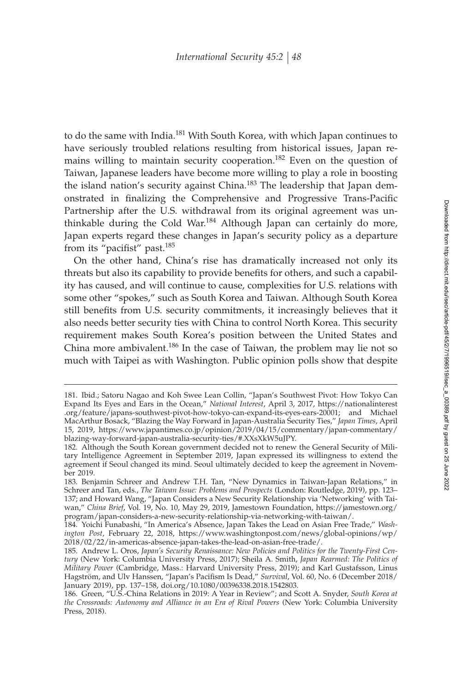to do the same with India.<sup>181</sup> With South Korea, with which Japan continues to have seriously troubled relations resulting from historical issues, Japan remains willing to maintain security cooperation.<sup>182</sup> Even on the question of Taiwan, Japanese leaders have become more willing to play a role in boosting the island nation's security against China.<sup>183</sup> The leadership that Japan demonstrated in finalizing the Comprehensive and Progressive Trans-Pacific Partnership after the U.S. withdrawal from its original agreement was unthinkable during the Cold War.<sup>184</sup> Although Japan can certainly do more, Japan experts regard these changes in Japan's security policy as a departure from its "pacifist" past. $185$ 

On the other hand, China's rise has dramatically increased not only its threats but also its capability to provide benefits for others, and such a capability has caused, and will continue to cause, complexities for U.S. relations with some other "spokes," such as South Korea and Taiwan. Although South Korea still benefits from U.S. security commitments, it increasingly believes that it also needs better security ties with China to control North Korea. This security requirement makes South Korea's position between the United States and China more ambivalent.<sup>186</sup> In the case of Taiwan, the problem may lie not so much with Taipei as with Washington. Public opinion polls show that despite

<sup>181.</sup> Ibid.; Satoru Nagao and Koh Swee Lean Collin, "Japan's Southwest Pivot: How Tokyo Can Expand Its Eyes and Ears in the Ocean," *National Interest*, April 3, 2017, https://nationalinterest .org/feature/japans-southwest-pivot-how-tokyo-can-expand-its-eyes-ears-20001; and Michael MacArthur Bosack, "Blazing the Way Forward in Japan-Australia Security Ties," *Japan Times*, April 15, 2019, https://www.japantimes.co.jp/opinion/2019/04/15/commentary/japan-commentary/ blazing-way-forward-japan-australia-security-ties/#.XXsXkW5uJPY.

<sup>182.</sup> Although the South Korean government decided not to renew the General Security of Military Intelligence Agreement in September 2019, Japan expressed its willingness to extend the agreement if Seoul changed its mind. Seoul ultimately decided to keep the agreement in November 2019.

<sup>183.</sup> Benjamin Schreer and Andrew T.H. Tan, "New Dynamics in Taiwan-Japan Relations," in Schreer and Tan, eds., *The Taiwan Issue: Problems and Prospects* (London: Routledge, 2019), pp. 123– 137; and Howard Wang, "Japan Considers a New Security Relationship via 'Networking' with Taiwan," *China Brief*, Vol. 19, No. 10, May 29, 2019, Jamestown Foundation, https://jamestown.org/ program/japan-considers-a-new-security-relationship-via-networking-with-taiwan/.

<sup>184.</sup> Yoichi Funabashi, "In America's Absence, Japan Takes the Lead on Asian Free Trade," *Washington Post*, February 22, 2018, https://www.washingtonpost.com/news/global-opinions/wp/ 2018/02/22/in-americas-absence-japan-takes-the-lead-on-asian-free-trade/.

<sup>185.</sup> Andrew L. Oros, *Japan's Security Renaissance: New Policies and Politics for the Twenty-First Century* (New York: Columbia University Press, 2017); Sheila A. Smith, *Japan Rearmed: The Politics of Military Power* (Cambridge, Mass.: Harvard University Press, 2019); and Karl Gustafsson, Linus Hagström, and Ulv Hanssen, "Japan's Pacifism Is Dead," Survival, Vol. 60, No. 6 (December 2018/ January 2019), pp. 137–158, doi.org/10.1080/00396338.2018.1542803.

<sup>186.</sup> Green, "U.S.-China Relations in 2019: A Year in Review"; and Scott A. Snyder, *South Korea at the Crossroads: Autonomy and Alliance in an Era of Rival Powers* (New York: Columbia University Press, 2018).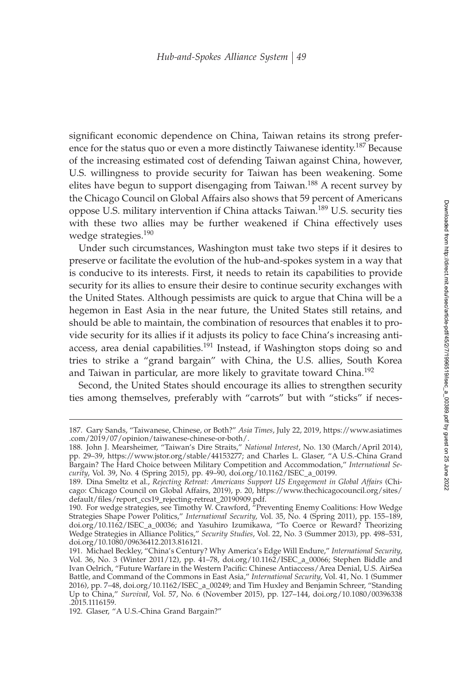significant economic dependence on China, Taiwan retains its strong preference for the status quo or even a more distinctly Taiwanese identity.<sup>187</sup> Because of the increasing estimated cost of defending Taiwan against China, however, U.S. willingness to provide security for Taiwan has been weakening. Some elites have begun to support disengaging from Taiwan.<sup>188</sup> A recent survey by the Chicago Council on Global Affairs also shows that 59 percent of Americans oppose U.S. military intervention if China attacks Taiwan.<sup>189</sup> U.S. security ties with these two allies may be further weakened if China effectively uses wedge strategies.<sup>190</sup>

Under such circumstances, Washington must take two steps if it desires to preserve or facilitate the evolution of the hub-and-spokes system in a way that is conducive to its interests. First, it needs to retain its capabilities to provide security for its allies to ensure their desire to continue security exchanges with the United States. Although pessimists are quick to argue that China will be a hegemon in East Asia in the near future, the United States still retains, and should be able to maintain, the combination of resources that enables it to provide security for its allies if it adjusts its policy to face China's increasing antiaccess, area denial capabilities.<sup>191</sup> Instead, if Washington stops doing so and tries to strike a "grand bargain" with China, the U.S. allies, South Korea and Taiwan in particular, are more likely to gravitate toward China.<sup>192</sup>

Second, the United States should encourage its allies to strengthen security ties among themselves, preferably with "carrots" but with "sticks" if neces-

<sup>187.</sup> Gary Sands, "Taiwanese, Chinese, or Both?" *Asia Times*, July 22, 2019, https://www.asiatimes .com/2019/07/opinion/taiwanese-chinese-or-both/.

<sup>188.</sup> John J. Mearsheimer, "Taiwan's Dire Straits," *National Interest*, No. 130 (March/April 2014), pp. 29–39, https://www.jstor.org/stable/44153277; and Charles L. Glaser, "A U.S.-China Grand Bargain? The Hard Choice between Military Competition and Accommodation," *International Security*, Vol. 39, No. 4 (Spring 2015), pp. 49–90, doi.org/10.1162/ISEC\_a\_00199.

<sup>189.</sup> Dina Smeltz et al., *Rejecting Retreat: Americans Support US Engagement in Global Affairs* (Chicago: Chicago Council on Global Affairs, 2019), p. 20, https://www.thechicagocouncil.org/sites/ default/files/report\_ccs19\_rejecting-retreat\_20190909.pdf.

<sup>190.</sup> For wedge strategies, see Timothy W. Crawford, "Preventing Enemy Coalitions: How Wedge Strategies Shape Power Politics," *International Security*, Vol. 35, No. 4 (Spring 2011), pp. 155–189, doi.org/10.1162/ISEC\_a\_00036; and Yasuhiro Izumikawa, "To Coerce or Reward? Theorizing Wedge Strategies in Alliance Politics," *Security Studies*, Vol. 22, No. 3 (Summer 2013), pp. 498–531, doi.org/10.1080/09636412.2013.816121.

<sup>191.</sup> Michael Beckley, "China's Century? Why America's Edge Will Endure," *International Security*, Vol. 36, No. 3 (Winter 2011/12), pp. 41–78, doi.org/10.1162/ISEC\_a\_00066; Stephen Biddle and Ivan Oelrich, "Future Warfare in the Western Pacific: Chinese Antiaccess/Area Denial, U.S. AirSea Battle, and Command of the Commons in East Asia," *International Security*, Vol. 41, No. 1 (Summer 2016), pp. 7–48, doi.org/10.1162/ISEC\_a\_00249; and Tim Huxley and Benjamin Schreer, "Standing Up to China," *Survival*, Vol. 57, No. 6 (November 2015), pp. 127–144, doi.org/10.1080/00396338 .2015.1116159.

<sup>192.</sup> Glaser, "A U.S.-China Grand Bargain?"